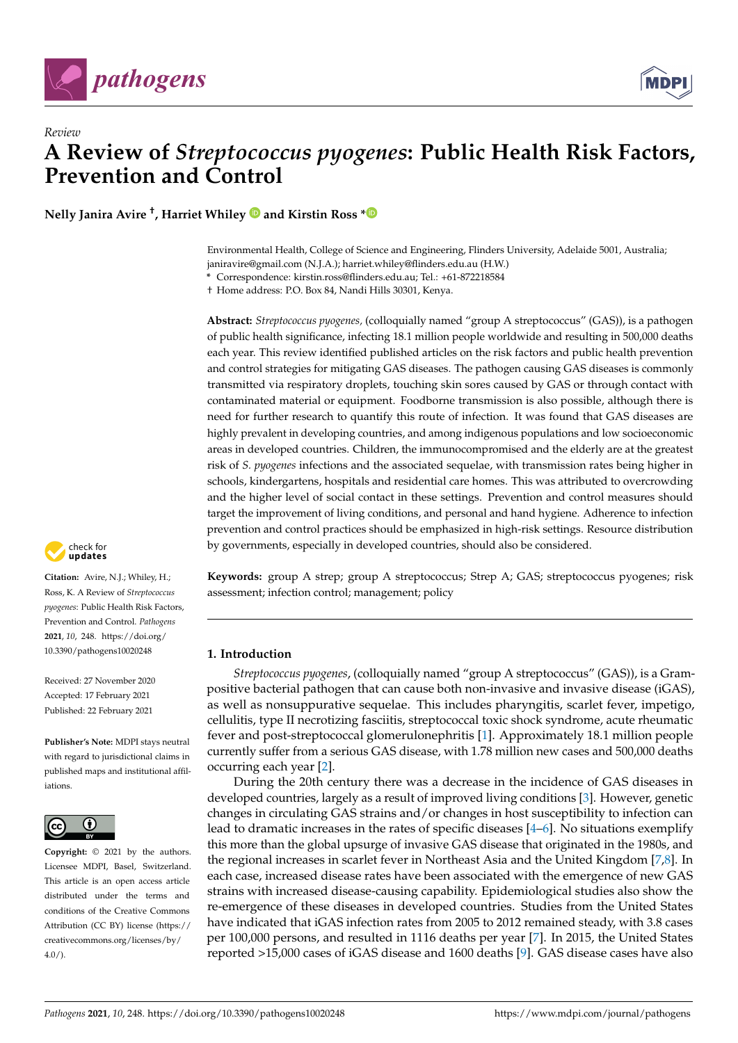

*Review*



# **A Review of** *Streptococcus pyogenes***: Public Health Risk Factors, Prevention and Control**

**Nelly Janira Avire † , Harriet Whiley and Kirstin Ross [\\*](https://orcid.org/0000-0001-5677-9576)**

Environmental Health, College of Science and Engineering, Flinders University, Adelaide 5001, Australia; janiravire@gmail.com (N.J.A.); harriet.whiley@flinders.edu.au (H.W.) **\*** Correspondence: kirstin.ross@flinders.edu.au; Tel.: +61-872218584

† Home address: P.O. Box 84, Nandi Hills 30301, Kenya.

**Abstract:** *Streptococcus pyogenes,* (colloquially named "group A streptococcus" (GAS)), is a pathogen of public health significance, infecting 18.1 million people worldwide and resulting in 500,000 deaths each year. This review identified published articles on the risk factors and public health prevention and control strategies for mitigating GAS diseases. The pathogen causing GAS diseases is commonly transmitted via respiratory droplets, touching skin sores caused by GAS or through contact with contaminated material or equipment. Foodborne transmission is also possible, although there is need for further research to quantify this route of infection. It was found that GAS diseases are highly prevalent in developing countries, and among indigenous populations and low socioeconomic areas in developed countries. Children, the immunocompromised and the elderly are at the greatest risk of *S. pyogenes* infections and the associated sequelae, with transmission rates being higher in schools, kindergartens, hospitals and residential care homes. This was attributed to overcrowding and the higher level of social contact in these settings. Prevention and control measures should target the improvement of living conditions, and personal and hand hygiene. Adherence to infection prevention and control practices should be emphasized in high-risk settings. Resource distribution by governments, especially in developed countries, should also be considered.

**Keywords:** group A strep; group A streptococcus; Strep A; GAS; streptococcus pyogenes; risk assessment; infection control; management; policy

# **1. Introduction**

*Streptococcus pyogenes*, (colloquially named "group A streptococcus" (GAS)), is a Grampositive bacterial pathogen that can cause both non-invasive and invasive disease (iGAS), as well as nonsuppurative sequelae. This includes pharyngitis, scarlet fever, impetigo, cellulitis, type II necrotizing fasciitis, streptococcal toxic shock syndrome, acute rheumatic fever and post-streptococcal glomerulonephritis [\[1\]](#page-10-0). Approximately 18.1 million people currently suffer from a serious GAS disease, with 1.78 million new cases and 500,000 deaths occurring each year [\[2\]](#page-10-1).

During the 20th century there was a decrease in the incidence of GAS diseases in developed countries, largely as a result of improved living conditions [\[3\]](#page-10-2). However, genetic changes in circulating GAS strains and/or changes in host susceptibility to infection can lead to dramatic increases in the rates of specific diseases  $[4-6]$  $[4-6]$ . No situations exemplify this more than the global upsurge of invasive GAS disease that originated in the 1980s, and the regional increases in scarlet fever in Northeast Asia and the United Kingdom [\[7,](#page-11-0)[8\]](#page-11-1). In each case, increased disease rates have been associated with the emergence of new GAS strains with increased disease-causing capability. Epidemiological studies also show the re-emergence of these diseases in developed countries. Studies from the United States have indicated that iGAS infection rates from 2005 to 2012 remained steady, with 3.8 cases per 100,000 persons, and resulted in 1116 deaths per year [\[7\]](#page-11-0). In 2015, the United States reported >15,000 cases of iGAS disease and 1600 deaths [\[9\]](#page-11-2). GAS disease cases have also



**Citation:** Avire, N.J.; Whiley, H.; Ross, K. A Review of *Streptococcus pyogenes*: Public Health Risk Factors, Prevention and Control. *Pathogens* **2021**, *10*, 248. [https://doi.org/](https://doi.org/10.3390/pathogens10020248) [10.3390/pathogens10020248](https://doi.org/10.3390/pathogens10020248)

Received: 27 November 2020 Accepted: 17 February 2021 Published: 22 February 2021

**Publisher's Note:** MDPI stays neutral with regard to jurisdictional claims in published maps and institutional affiliations.



**Copyright:** © 2021 by the authors. Licensee MDPI, Basel, Switzerland. This article is an open access article distributed under the terms and conditions of the Creative Commons Attribution (CC BY) license (https:/[/](https://creativecommons.org/licenses/by/4.0/) [creativecommons.org/licenses/by/](https://creativecommons.org/licenses/by/4.0/)  $4.0/$ ).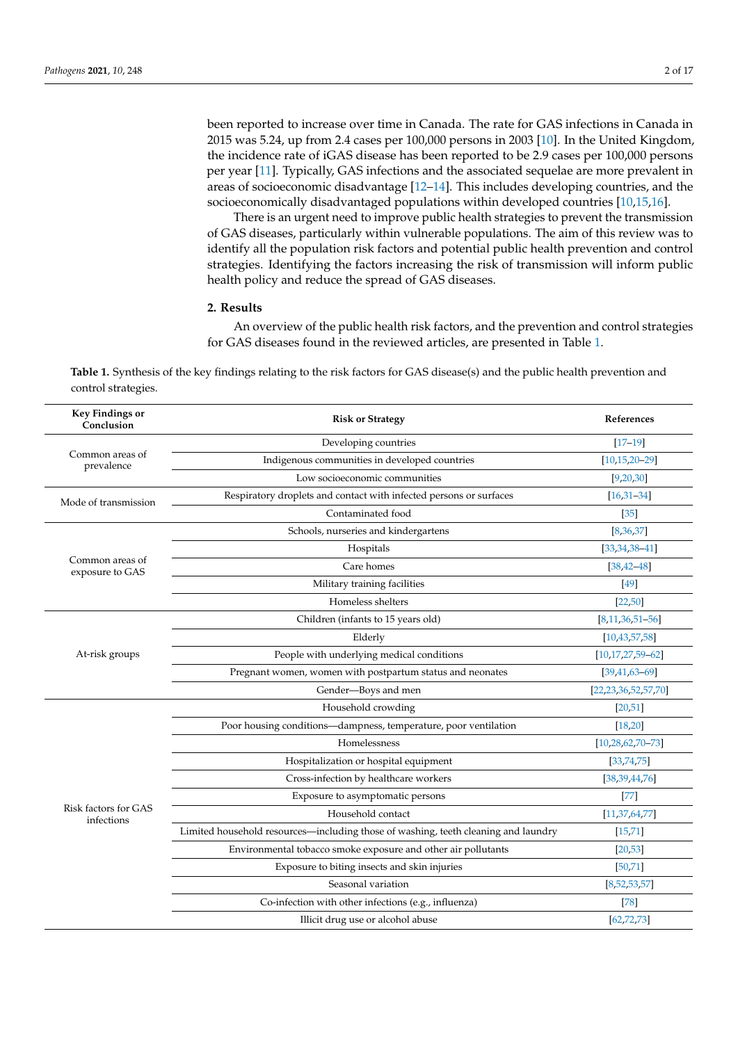been reported to increase over time in Canada. The rate for GAS infections in Canada in 2015 was 5.24, up from 2.4 cases per 100,000 persons in 2003 [\[10\]](#page-11-3). In the United Kingdom, the incidence rate of iGAS disease has been reported to be 2.9 cases per 100,000 persons per year [\[11\]](#page-11-4). Typically, GAS infections and the associated sequelae are more prevalent in areas of socioeconomic disadvantage [\[12](#page-11-5)[–14\]](#page-11-6). This includes developing countries, and the socioeconomically disadvantaged populations within developed countries [\[10,](#page-11-3)[15,](#page-11-7)[16\]](#page-11-8).

There is an urgent need to improve public health strategies to prevent the transmission of GAS diseases, particularly within vulnerable populations. The aim of this review was to identify all the population risk factors and potential public health prevention and control strategies. Identifying the factors increasing the risk of transmission will inform public health policy and reduce the spread of GAS diseases.

## **2. Results**

An overview of the public health risk factors, and the prevention and control strategies for GAS diseases found in the reviewed articles, are presented in Table [1.](#page-2-0)

**Key Findings or Conclusion Risk or Strategy References** Common areas of prevalence Developing countries [\[17](#page-11-9)[–19\]](#page-11-10) Indigenous communities in developed countries [\[10](#page-11-3)[,15](#page-11-7)[,20](#page-11-11)[–29\]](#page-11-12) Low socioeconomic communities [\[9](#page-11-2)[,20](#page-11-11)[,30\]](#page-11-13) Mode of transmission Respiratory droplets and contact with infected persons or surfaces [\[16](#page-11-8)[,31](#page-11-14)[–34\]](#page-12-0)<br>Contaminated food [35] Contaminated food Common areas of exposure to GAS Schools, nurseries and kindergartens [\[8](#page-11-1)[,36](#page-12-2)[,37\]](#page-12-3) Hospitals [\[33](#page-12-4)[,34](#page-12-0)[,38](#page-12-5)[–41\]](#page-12-6) Care homes [\[38](#page-12-5)[,42](#page-12-7)[–48\]](#page-12-8) Military training facilities [\[49\]](#page-12-9) Homeless shelters [\[22](#page-11-15)[,50\]](#page-12-10) At-risk groups Children (infants to 15 years old) [\[8](#page-11-1)[,11](#page-11-4)[,36](#page-12-2)[,51](#page-12-11)-56] Elderly [\[10](#page-11-3)[,43](#page-12-13)[,57](#page-12-14)[,58\]](#page-13-0) People with underlying medical conditions [\[10](#page-11-3)[,17](#page-11-9)[,27](#page-11-16)[,59](#page-13-1)[–62\]](#page-13-2) Pregnant women, women with postpartum status and neonates [\[39](#page-12-15)[,41](#page-12-6)[,63](#page-13-3)[–69\]](#page-13-4) Gender—Boys and men [\[22](#page-11-15)[,23](#page-11-17)[,36](#page-12-2)[,52](#page-12-16)[,57,](#page-12-14)[70\]](#page-13-5) Risk factors for GAS infections Household crowding [\[20](#page-11-11)[,51\]](#page-12-11) Poor housing conditions—dampness, temperature, poor ventilation [\[18](#page-11-18)[,20\]](#page-11-11) Homelessness [\[10](#page-11-3)[,28](#page-11-19)[,62](#page-13-2)[,70](#page-13-5)[–73\]](#page-13-6) Hospitalization or hospital equipment [\[33](#page-12-4)[,74](#page-13-7)[,75\]](#page-13-8) Cross-infection by healthcare workers [\[38](#page-12-5)[,39](#page-12-15)[,44](#page-12-17)[,76\]](#page-13-9) Exposure to asymptomatic persons [\[77\]](#page-13-10) Household contact [\[11](#page-11-4)[,37](#page-12-3)[,64](#page-13-11)[,77\]](#page-13-10) Limited household resources—including those of washing, teeth cleaning and laundry [\[15](#page-11-7)[,71\]](#page-13-12) Environmental tobacco smoke exposure and other air pollutants [\[20](#page-11-11)[,53\]](#page-12-18) Exposure to biting insects and skin injuries [\[50](#page-12-10)[,71\]](#page-13-12) Seasonal variation [\[8](#page-11-1)[,52](#page-12-16)[,53](#page-12-18)[,57\]](#page-12-14) Co-infection with other infections (e.g., influenza) [\[78\]](#page-13-13) Illicit drug use or alcohol abuse [\[62](#page-13-2)[,72](#page-13-14)[,73\]](#page-13-6)

**Table 1.** Synthesis of the key findings relating to the risk factors for GAS disease(s) and the public health prevention and control strategies.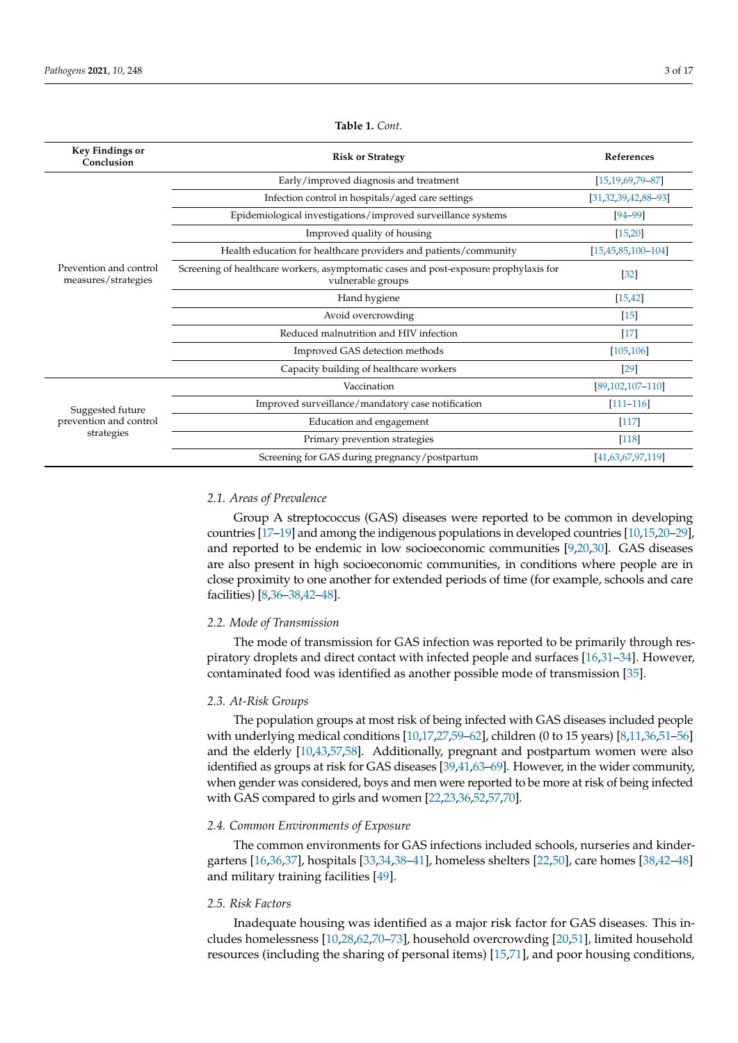<span id="page-2-0"></span>

| <b>Key Findings or</b><br>Conclusion                     | <b>Risk or Strategy</b>                                                                                    | References                |
|----------------------------------------------------------|------------------------------------------------------------------------------------------------------------|---------------------------|
| Prevention and control<br>measures/strategies            | Early/improved diagnosis and treatment                                                                     | $[15, 19, 69, 79 - 87]$   |
|                                                          | Infection control in hospitals/aged care settings                                                          | $[31,32,39,42,88-93]$     |
|                                                          | Epidemiological investigations/improved surveillance systems                                               | $[94 - 99]$               |
|                                                          | Improved quality of housing                                                                                | [15, 20]                  |
|                                                          | Health education for healthcare providers and patients/community                                           | $[15, 45, 85, 100 - 104]$ |
|                                                          | Screening of healthcare workers, asymptomatic cases and post-exposure prophylaxis for<br>vulnerable groups | $[32]$                    |
|                                                          | Hand hygiene                                                                                               | [15, 42]                  |
|                                                          | Avoid overcrowding                                                                                         | $[15]$                    |
|                                                          | Reduced malnutrition and HIV infection                                                                     | $[17]$                    |
|                                                          | Improved GAS detection methods                                                                             | [105, 106]                |
|                                                          | Capacity building of healthcare workers                                                                    | $\left[29\right]$         |
| Suggested future<br>prevention and control<br>strategies | Vaccination                                                                                                | $[89, 102, 107 - 110]$    |
|                                                          | Improved surveillance/mandatory case notification                                                          | $[111 - 116]$             |
|                                                          | Education and engagement                                                                                   | $[117]$                   |
|                                                          | Primary prevention strategies                                                                              | $[118]$                   |
|                                                          | Screening for GAS during pregnancy/postpartum                                                              | [41,63,67,97,119]         |

**Table 1.** *Cont.*

# *2.1. Areas of Prevalence*

Group A streptococcus (GAS) diseases were reported to be common in developing countries [\[17–](#page-11-9)[19\]](#page-11-10) and among the indigenous populations in developed countries [\[10](#page-11-3)[,15](#page-11-7)[,20](#page-11-11)[–29\]](#page-11-12), and reported to be endemic in low socioeconomic communities [\[9](#page-11-2)[,20](#page-11-11)[,30\]](#page-11-13). GAS diseases are also present in high socioeconomic communities, in conditions where people are in close proximity to one another for extended periods of time (for example, schools and care facilities) [\[8](#page-11-1)[,36–](#page-12-2)[38,](#page-12-5)[42–](#page-12-7)[48\]](#page-12-8).

### *2.2. Mode of Transmission*

The mode of transmission for GAS infection was reported to be primarily through respiratory droplets and direct contact with infected people and surfaces [\[16](#page-11-8)[,31–](#page-11-14)[34\]](#page-12-0). However, contaminated food was identified as another possible mode of transmission [\[35\]](#page-12-1).

#### *2.3. At-Risk Groups*

The population groups at most risk of being infected with GAS diseases included people with underlying medical conditions [\[10](#page-11-3)[,17](#page-11-9)[,27](#page-11-16)[,59](#page-13-1)[–62\]](#page-13-2), children (0 to 15 years) [\[8,](#page-11-1)[11,](#page-11-4)[36,](#page-12-2)[51–](#page-12-11)[56\]](#page-12-12) and the elderly [\[10](#page-11-3)[,43,](#page-12-13)[57,](#page-12-14)[58\]](#page-13-0). Additionally, pregnant and postpartum women were also identified as groups at risk for GAS diseases [\[39](#page-12-15)[,41,](#page-12-6)[63](#page-13-3)[–69\]](#page-13-4). However, in the wider community, when gender was considered, boys and men were reported to be more at risk of being infected with GAS compared to girls and women [\[22,](#page-11-15)[23,](#page-11-17)[36,](#page-12-2)[52,](#page-12-16)[57,](#page-12-14)[70\]](#page-13-5).

#### *2.4. Common Environments of Exposure*

The common environments for GAS infections included schools, nurseries and kindergartens [\[16,](#page-11-8)[36,](#page-12-2)[37\]](#page-12-3), hospitals [\[33,](#page-12-4)[34,](#page-12-0)[38](#page-12-5)[–41\]](#page-12-6), homeless shelters [\[22](#page-11-15)[,50\]](#page-12-10), care homes [\[38,](#page-12-5)[42](#page-12-7)[–48\]](#page-12-8) and military training facilities [\[49\]](#page-12-9).

# *2.5. Risk Factors*

Inadequate housing was identified as a major risk factor for GAS diseases. This includes homelessness [\[10](#page-11-3)[,28](#page-11-19)[,62](#page-13-2)[,70](#page-13-5)[–73\]](#page-13-6), household overcrowding [\[20](#page-11-11)[,51\]](#page-12-11), limited household resources (including the sharing of personal items) [\[15,](#page-11-7)[71\]](#page-13-12), and poor housing conditions,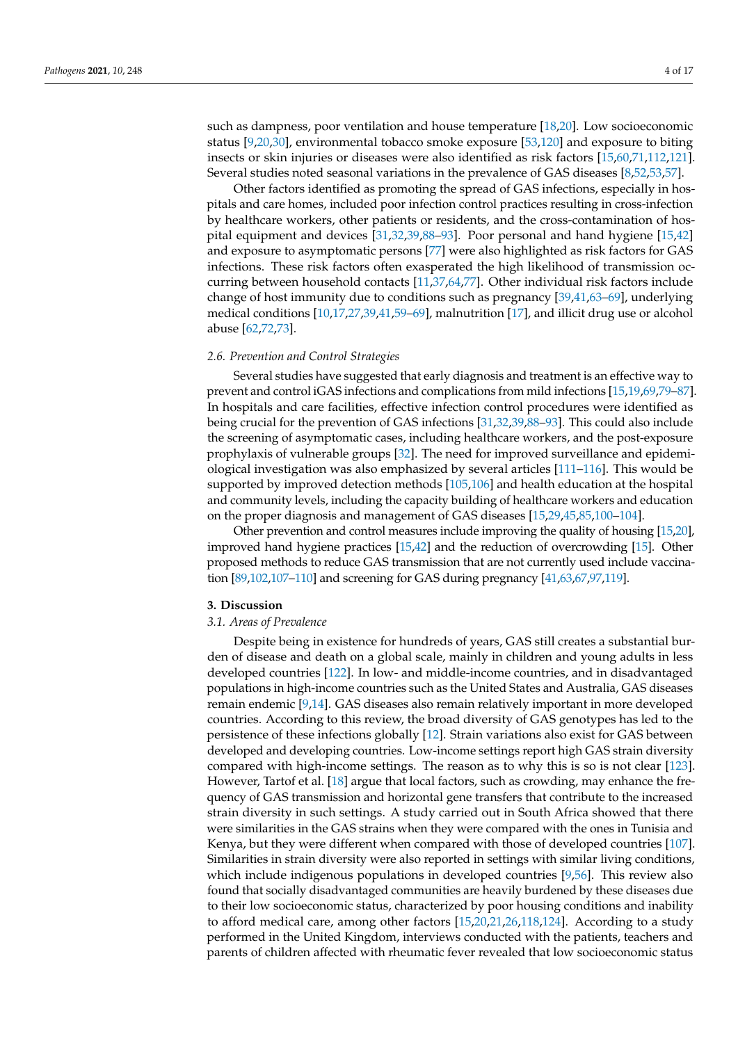such as dampness, poor ventilation and house temperature [\[18,](#page-11-18)[20\]](#page-11-11). Low socioeconomic status [\[9](#page-11-2)[,20](#page-11-11)[,30\]](#page-11-13), environmental tobacco smoke exposure [\[53,](#page-12-18)[120\]](#page-15-8) and exposure to biting insects or skin injuries or diseases were also identified as risk factors [\[15,](#page-11-7)[60,](#page-13-17)[71,](#page-13-12)[112,](#page-15-9)[121\]](#page-15-10). Several studies noted seasonal variations in the prevalence of GAS diseases [\[8,](#page-11-1)[52,](#page-12-16)[53,](#page-12-18)[57\]](#page-12-14).

Other factors identified as promoting the spread of GAS infections, especially in hospitals and care homes, included poor infection control practices resulting in cross-infection by healthcare workers, other patients or residents, and the cross-contamination of hospital equipment and devices [\[31](#page-11-14)[,32,](#page-12-19)[39](#page-12-15)[,88](#page-14-1)[–93\]](#page-14-2). Poor personal and hand hygiene [\[15,](#page-11-7)[42\]](#page-12-7) and exposure to asymptomatic persons [\[77\]](#page-13-10) were also highlighted as risk factors for GAS infections. These risk factors often exasperated the high likelihood of transmission occurring between household contacts [\[11](#page-11-4)[,37](#page-12-3)[,64](#page-13-11)[,77\]](#page-13-10). Other individual risk factors include change of host immunity due to conditions such as pregnancy [\[39,](#page-12-15)[41,](#page-12-6)[63–](#page-13-3)[69\]](#page-13-4), underlying medical conditions [\[10,](#page-11-3)[17](#page-11-9)[,27](#page-11-16)[,39](#page-12-15)[,41](#page-12-6)[,59](#page-13-1)[–69\]](#page-13-4), malnutrition [\[17\]](#page-11-9), and illicit drug use or alcohol abuse [\[62,](#page-13-2)[72](#page-13-14)[,73\]](#page-13-6).

#### *2.6. Prevention and Control Strategies*

Several studies have suggested that early diagnosis and treatment is an effective way to prevent and control iGAS infections and complications from mild infections [\[15,](#page-11-7)[19,](#page-11-10)[69,](#page-13-4)[79–](#page-13-15)[87\]](#page-14-0). In hospitals and care facilities, effective infection control procedures were identified as being crucial for the prevention of GAS infections [\[31](#page-11-14)[,32](#page-12-19)[,39](#page-12-15)[,88](#page-14-1)[–93\]](#page-14-2). This could also include the screening of asymptomatic cases, including healthcare workers, and the post-exposure prophylaxis of vulnerable groups [\[32\]](#page-12-19). The need for improved surveillance and epidemiological investigation was also emphasized by several articles [\[111–](#page-15-3)[116\]](#page-15-4). This would be supported by improved detection methods [\[105,](#page-14-8)[106\]](#page-15-0) and health education at the hospital and community levels, including the capacity building of healthcare workers and education on the proper diagnosis and management of GAS diseases [\[15](#page-11-7)[,29](#page-11-12)[,45](#page-12-20)[,85,](#page-14-5)[100–](#page-14-6)[104\]](#page-14-7).

Other prevention and control measures include improving the quality of housing [\[15](#page-11-7)[,20\]](#page-11-11), improved hand hygiene practices [\[15,](#page-11-7)[42\]](#page-12-7) and the reduction of overcrowding [\[15\]](#page-11-7). Other proposed methods to reduce GAS transmission that are not currently used include vaccination [\[89](#page-14-9)[,102,](#page-14-10)[107](#page-15-1)[–110\]](#page-15-2) and screening for GAS during pregnancy [\[41,](#page-12-6)[63,](#page-13-3)[67,](#page-13-16)[97,](#page-14-11)[119\]](#page-15-7).

#### **3. Discussion**

#### *3.1. Areas of Prevalence*

Despite being in existence for hundreds of years, GAS still creates a substantial burden of disease and death on a global scale, mainly in children and young adults in less developed countries [\[122\]](#page-15-11). In low- and middle-income countries, and in disadvantaged populations in high-income countries such as the United States and Australia, GAS diseases remain endemic [\[9,](#page-11-2)[14\]](#page-11-6). GAS diseases also remain relatively important in more developed countries. According to this review, the broad diversity of GAS genotypes has led to the persistence of these infections globally [\[12\]](#page-11-5). Strain variations also exist for GAS between developed and developing countries. Low-income settings report high GAS strain diversity compared with high-income settings. The reason as to why this is so is not clear [\[123\]](#page-15-12). However, Tartof et al. [\[18\]](#page-11-18) argue that local factors, such as crowding, may enhance the frequency of GAS transmission and horizontal gene transfers that contribute to the increased strain diversity in such settings. A study carried out in South Africa showed that there were similarities in the GAS strains when they were compared with the ones in Tunisia and Kenya, but they were different when compared with those of developed countries [\[107\]](#page-15-1). Similarities in strain diversity were also reported in settings with similar living conditions, which include indigenous populations in developed countries [\[9,](#page-11-2)[56\]](#page-12-12). This review also found that socially disadvantaged communities are heavily burdened by these diseases due to their low socioeconomic status, characterized by poor housing conditions and inability to afford medical care, among other factors [\[15,](#page-11-7)[20](#page-11-11)[,21](#page-11-20)[,26](#page-11-21)[,118,](#page-15-6)[124\]](#page-15-13). According to a study performed in the United Kingdom, interviews conducted with the patients, teachers and parents of children affected with rheumatic fever revealed that low socioeconomic status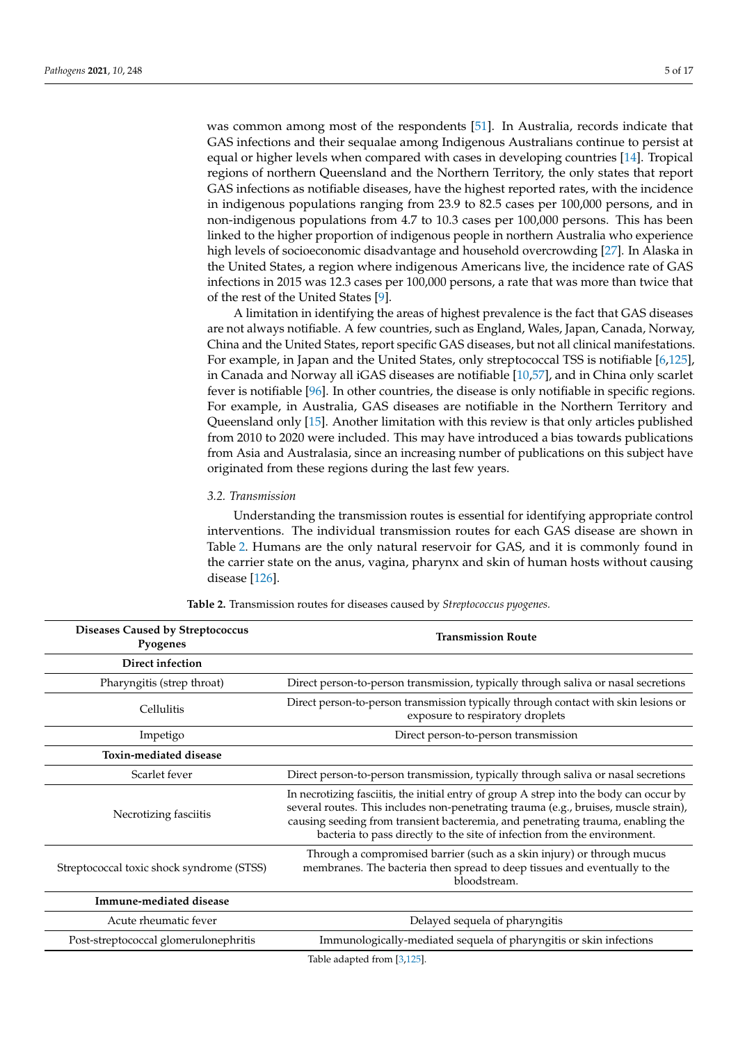was common among most of the respondents [\[51\]](#page-12-11). In Australia, records indicate that GAS infections and their sequalae among Indigenous Australians continue to persist at equal or higher levels when compared with cases in developing countries [\[14\]](#page-11-6). Tropical regions of northern Queensland and the Northern Territory, the only states that report GAS infections as notifiable diseases, have the highest reported rates, with the incidence in indigenous populations ranging from 23.9 to 82.5 cases per 100,000 persons, and in non-indigenous populations from 4.7 to 10.3 cases per 100,000 persons. This has been linked to the higher proportion of indigenous people in northern Australia who experience high levels of socioeconomic disadvantage and household overcrowding [\[27\]](#page-11-16). In Alaska in the United States, a region where indigenous Americans live, the incidence rate of GAS infections in 2015 was 12.3 cases per 100,000 persons, a rate that was more than twice that of the rest of the United States [\[9\]](#page-11-2).

A limitation in identifying the areas of highest prevalence is the fact that GAS diseases are not always notifiable. A few countries, such as England, Wales, Japan, Canada, Norway, China and the United States, report specific GAS diseases, but not all clinical manifestations. For example, in Japan and the United States, only streptococcal TSS is notifiable [\[6,](#page-10-4)[125\]](#page-15-14), in Canada and Norway all iGAS diseases are notifiable [\[10,](#page-11-3)[57\]](#page-12-14), and in China only scarlet fever is notifiable [\[96\]](#page-14-12). In other countries, the disease is only notifiable in specific regions. For example, in Australia, GAS diseases are notifiable in the Northern Territory and Queensland only [\[15\]](#page-11-7). Another limitation with this review is that only articles published from 2010 to 2020 were included. This may have introduced a bias towards publications from Asia and Australasia, since an increasing number of publications on this subject have originated from these regions during the last few years.

### *3.2. Transmission*

Understanding the transmission routes is essential for identifying appropriate control interventions. The individual transmission routes for each GAS disease are shown in Table [2.](#page-4-0) Humans are the only natural reservoir for GAS, and it is commonly found in the carrier state on the anus, vagina, pharynx and skin of human hosts without causing disease [\[126\]](#page-15-15).

<span id="page-4-0"></span>

| <b>Diseases Caused by Streptococcus</b><br>Pyogenes | <b>Transmission Route</b>                                                                                                                                                                                                                                                                                                                      |  |
|-----------------------------------------------------|------------------------------------------------------------------------------------------------------------------------------------------------------------------------------------------------------------------------------------------------------------------------------------------------------------------------------------------------|--|
| Direct infection                                    |                                                                                                                                                                                                                                                                                                                                                |  |
| Pharyngitis (strep throat)                          | Direct person-to-person transmission, typically through saliva or nasal secretions                                                                                                                                                                                                                                                             |  |
| Cellulitis                                          | Direct person-to-person transmission typically through contact with skin lesions or<br>exposure to respiratory droplets                                                                                                                                                                                                                        |  |
| Impetigo                                            | Direct person-to-person transmission                                                                                                                                                                                                                                                                                                           |  |
| Toxin-mediated disease                              |                                                                                                                                                                                                                                                                                                                                                |  |
| Scarlet fever                                       | Direct person-to-person transmission, typically through saliva or nasal secretions                                                                                                                                                                                                                                                             |  |
| Necrotizing fasciitis                               | In necrotizing fasciitis, the initial entry of group A strep into the body can occur by<br>several routes. This includes non-penetrating trauma (e.g., bruises, muscle strain),<br>causing seeding from transient bacteremia, and penetrating trauma, enabling the<br>bacteria to pass directly to the site of infection from the environment. |  |
| Streptococcal toxic shock syndrome (STSS)           | Through a compromised barrier (such as a skin injury) or through mucus<br>membranes. The bacteria then spread to deep tissues and eventually to the<br>bloodstream.                                                                                                                                                                            |  |
| Immune-mediated disease                             |                                                                                                                                                                                                                                                                                                                                                |  |
| Acute rheumatic fever                               | Delayed sequela of pharyngitis                                                                                                                                                                                                                                                                                                                 |  |
| Post-streptococcal glomerulonephritis               | Immunologically-mediated sequela of pharyngitis or skin infections                                                                                                                                                                                                                                                                             |  |
|                                                     | Table adapted from [3.125].                                                                                                                                                                                                                                                                                                                    |  |

**Table 2.** Transmission routes for diseases caused by *Streptococcus pyogenes.*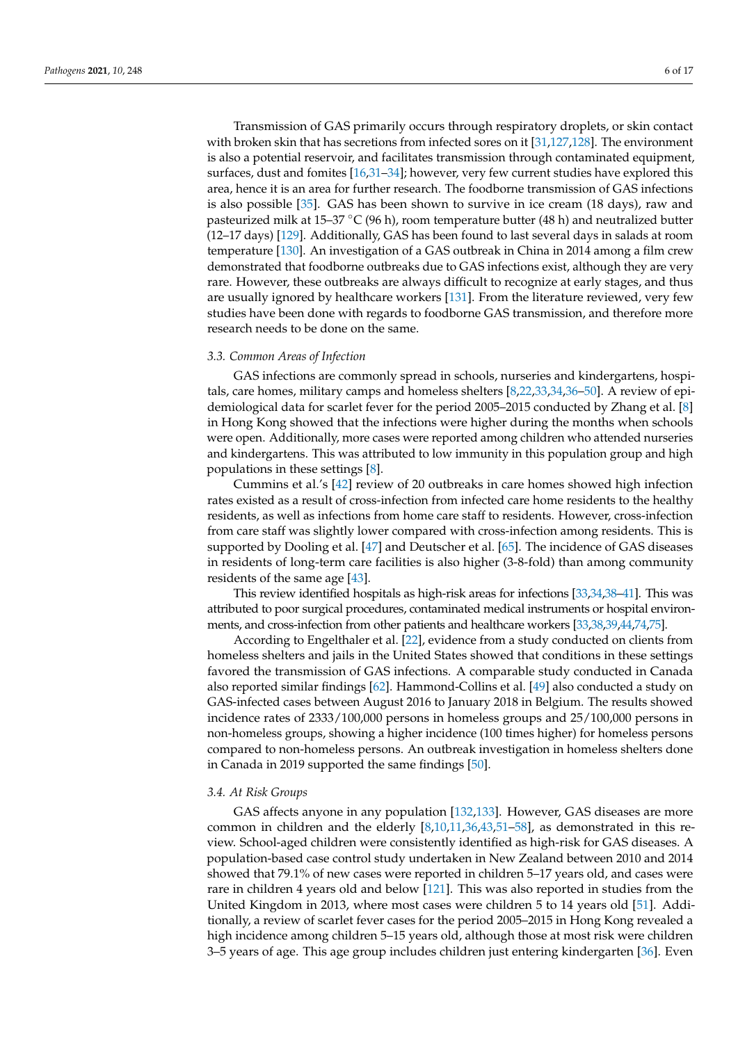Transmission of GAS primarily occurs through respiratory droplets, or skin contact with broken skin that has secretions from infected sores on it [\[31,](#page-11-14)[127](#page-15-16)[,128\]](#page-15-17). The environment is also a potential reservoir, and facilitates transmission through contaminated equipment, surfaces, dust and fomites [\[16](#page-11-8)[,31–](#page-11-14)[34\]](#page-12-0); however, very few current studies have explored this area, hence it is an area for further research. The foodborne transmission of GAS infections is also possible [\[35\]](#page-12-1). GAS has been shown to survive in ice cream (18 days), raw and pasteurized milk at 15–37 °C (96 h), room temperature butter (48 h) and neutralized butter (12–17 days) [\[129\]](#page-16-0). Additionally, GAS has been found to last several days in salads at room temperature [\[130\]](#page-16-1). An investigation of a GAS outbreak in China in 2014 among a film crew demonstrated that foodborne outbreaks due to GAS infections exist, although they are very rare. However, these outbreaks are always difficult to recognize at early stages, and thus are usually ignored by healthcare workers [\[131\]](#page-16-2). From the literature reviewed, very few studies have been done with regards to foodborne GAS transmission, and therefore more research needs to be done on the same.

#### *3.3. Common Areas of Infection*

GAS infections are commonly spread in schools, nurseries and kindergartens, hospitals, care homes, military camps and homeless shelters [\[8,](#page-11-1)[22,](#page-11-15)[33,](#page-12-4)[34](#page-12-0)[,36](#page-12-2)[–50\]](#page-12-10). A review of epidemiological data for scarlet fever for the period 2005–2015 conducted by Zhang et al. [\[8\]](#page-11-1) in Hong Kong showed that the infections were higher during the months when schools were open. Additionally, more cases were reported among children who attended nurseries and kindergartens. This was attributed to low immunity in this population group and high populations in these settings [\[8\]](#page-11-1).

Cummins et al.'s [\[42\]](#page-12-7) review of 20 outbreaks in care homes showed high infection rates existed as a result of cross-infection from infected care home residents to the healthy residents, as well as infections from home care staff to residents. However, cross-infection from care staff was slightly lower compared with cross-infection among residents. This is supported by Dooling et al. [\[47\]](#page-12-21) and Deutscher et al. [\[65\]](#page-13-18). The incidence of GAS diseases in residents of long-term care facilities is also higher (3-8-fold) than among community residents of the same age [\[43\]](#page-12-13).

This review identified hospitals as high-risk areas for infections [\[33](#page-12-4)[,34](#page-12-0)[,38–](#page-12-5)[41\]](#page-12-6). This was attributed to poor surgical procedures, contaminated medical instruments or hospital environments, and cross-infection from other patients and healthcare workers [\[33,](#page-12-4)[38,](#page-12-5)[39,](#page-12-15)[44](#page-12-17)[,74,](#page-13-7)[75\]](#page-13-8).

According to Engelthaler et al. [\[22\]](#page-11-15), evidence from a study conducted on clients from homeless shelters and jails in the United States showed that conditions in these settings favored the transmission of GAS infections. A comparable study conducted in Canada also reported similar findings [\[62\]](#page-13-2). Hammond-Collins et al. [\[49\]](#page-12-9) also conducted a study on GAS-infected cases between August 2016 to January 2018 in Belgium. The results showed incidence rates of 2333/100,000 persons in homeless groups and 25/100,000 persons in non-homeless groups, showing a higher incidence (100 times higher) for homeless persons compared to non-homeless persons. An outbreak investigation in homeless shelters done in Canada in 2019 supported the same findings [\[50\]](#page-12-10).

## *3.4. At Risk Groups*

GAS affects anyone in any population [\[132,](#page-16-3)[133\]](#page-16-4). However, GAS diseases are more common in children and the elderly [\[8](#page-11-1)[,10](#page-11-3)[,11](#page-11-4)[,36](#page-12-2)[,43](#page-12-13)[,51](#page-12-11)[–58\]](#page-13-0), as demonstrated in this review. School-aged children were consistently identified as high-risk for GAS diseases. A population-based case control study undertaken in New Zealand between 2010 and 2014 showed that 79.1% of new cases were reported in children 5–17 years old, and cases were rare in children 4 years old and below [\[121\]](#page-15-10). This was also reported in studies from the United Kingdom in 2013, where most cases were children 5 to 14 years old [\[51\]](#page-12-11). Additionally, a review of scarlet fever cases for the period 2005–2015 in Hong Kong revealed a high incidence among children 5–15 years old, although those at most risk were children 3–5 years of age. This age group includes children just entering kindergarten [\[36\]](#page-12-2). Even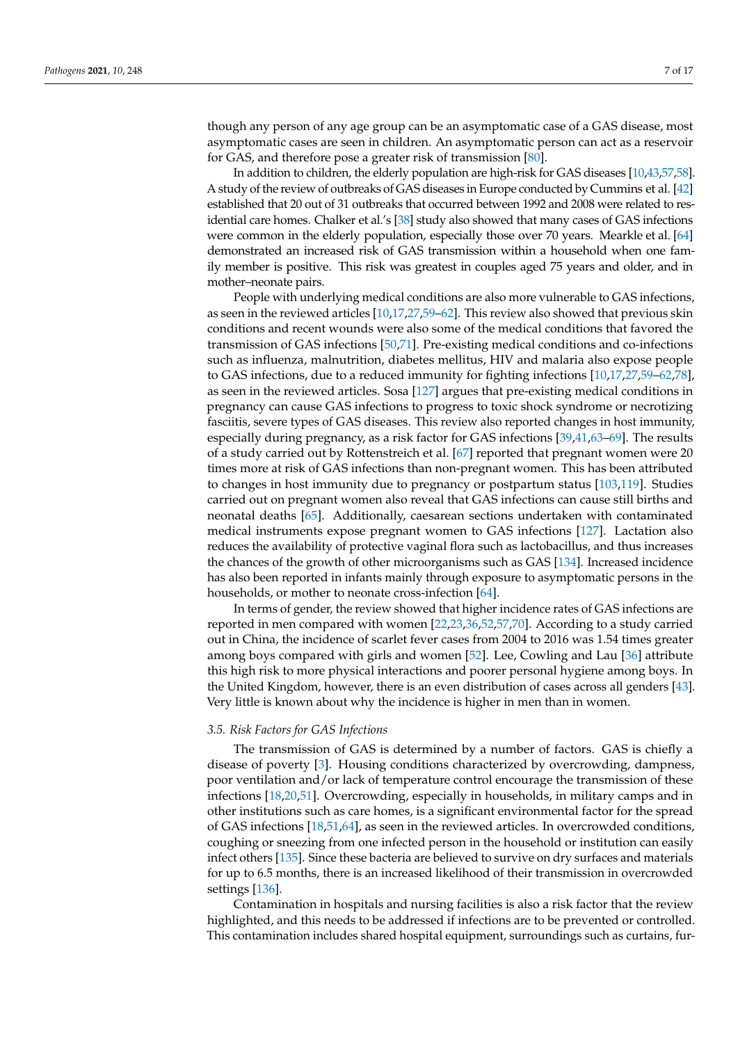though any person of any age group can be an asymptomatic case of a GAS disease, most asymptomatic cases are seen in children. An asymptomatic person can act as a reservoir for GAS, and therefore pose a greater risk of transmission [\[80\]](#page-14-13).

In addition to children, the elderly population are high-risk for GAS diseases [\[10](#page-11-3)[,43,](#page-12-13)[57,](#page-12-14)[58\]](#page-13-0). A study of the review of outbreaks of GAS diseases in Europe conducted by Cummins et al. [\[42\]](#page-12-7) established that 20 out of 31 outbreaks that occurred between 1992 and 2008 were related to res-idential care homes. Chalker et al.'s [\[38\]](#page-12-5) study also showed that many cases of GAS infections were common in the elderly population, especially those over 70 years. Mearkle et al. [\[64\]](#page-13-11) demonstrated an increased risk of GAS transmission within a household when one family member is positive. This risk was greatest in couples aged 75 years and older, and in mother–neonate pairs.

People with underlying medical conditions are also more vulnerable to GAS infections, as seen in the reviewed articles [\[10](#page-11-3)[,17](#page-11-9)[,27](#page-11-16)[,59](#page-13-1)[–62\]](#page-13-2). This review also showed that previous skin conditions and recent wounds were also some of the medical conditions that favored the transmission of GAS infections [\[50,](#page-12-10)[71\]](#page-13-12). Pre-existing medical conditions and co-infections such as influenza, malnutrition, diabetes mellitus, HIV and malaria also expose people to GAS infections, due to a reduced immunity for fighting infections [\[10,](#page-11-3)[17,](#page-11-9)[27,](#page-11-16)[59](#page-13-1)[–62,](#page-13-2)[78\]](#page-13-13), as seen in the reviewed articles. Sosa [\[127\]](#page-15-16) argues that pre-existing medical conditions in pregnancy can cause GAS infections to progress to toxic shock syndrome or necrotizing fasciitis, severe types of GAS diseases. This review also reported changes in host immunity, especially during pregnancy, as a risk factor for GAS infections [\[39,](#page-12-15)[41,](#page-12-6)[63–](#page-13-3)[69\]](#page-13-4). The results of a study carried out by Rottenstreich et al. [\[67\]](#page-13-16) reported that pregnant women were 20 times more at risk of GAS infections than non-pregnant women. This has been attributed to changes in host immunity due to pregnancy or postpartum status [\[103](#page-14-14)[,119\]](#page-15-7). Studies carried out on pregnant women also reveal that GAS infections can cause still births and neonatal deaths [\[65\]](#page-13-18). Additionally, caesarean sections undertaken with contaminated medical instruments expose pregnant women to GAS infections [\[127\]](#page-15-16). Lactation also reduces the availability of protective vaginal flora such as lactobacillus, and thus increases the chances of the growth of other microorganisms such as GAS [\[134\]](#page-16-5). Increased incidence has also been reported in infants mainly through exposure to asymptomatic persons in the households, or mother to neonate cross-infection [\[64\]](#page-13-11).

In terms of gender, the review showed that higher incidence rates of GAS infections are reported in men compared with women [\[22](#page-11-15)[,23](#page-11-17)[,36](#page-12-2)[,52](#page-12-16)[,57](#page-12-14)[,70\]](#page-13-5). According to a study carried out in China, the incidence of scarlet fever cases from 2004 to 2016 was 1.54 times greater among boys compared with girls and women [\[52\]](#page-12-16). Lee, Cowling and Lau [\[36\]](#page-12-2) attribute this high risk to more physical interactions and poorer personal hygiene among boys. In the United Kingdom, however, there is an even distribution of cases across all genders [\[43\]](#page-12-13). Very little is known about why the incidence is higher in men than in women.

## *3.5. Risk Factors for GAS Infections*

The transmission of GAS is determined by a number of factors. GAS is chiefly a disease of poverty [\[3\]](#page-10-2). Housing conditions characterized by overcrowding, dampness, poor ventilation and/or lack of temperature control encourage the transmission of these infections [\[18,](#page-11-18)[20,](#page-11-11)[51\]](#page-12-11). Overcrowding, especially in households, in military camps and in other institutions such as care homes, is a significant environmental factor for the spread of GAS infections [\[18,](#page-11-18)[51,](#page-12-11)[64\]](#page-13-11), as seen in the reviewed articles. In overcrowded conditions, coughing or sneezing from one infected person in the household or institution can easily infect others [\[135\]](#page-16-6). Since these bacteria are believed to survive on dry surfaces and materials for up to 6.5 months, there is an increased likelihood of their transmission in overcrowded settings [\[136\]](#page-16-7).

Contamination in hospitals and nursing facilities is also a risk factor that the review highlighted, and this needs to be addressed if infections are to be prevented or controlled. This contamination includes shared hospital equipment, surroundings such as curtains, fur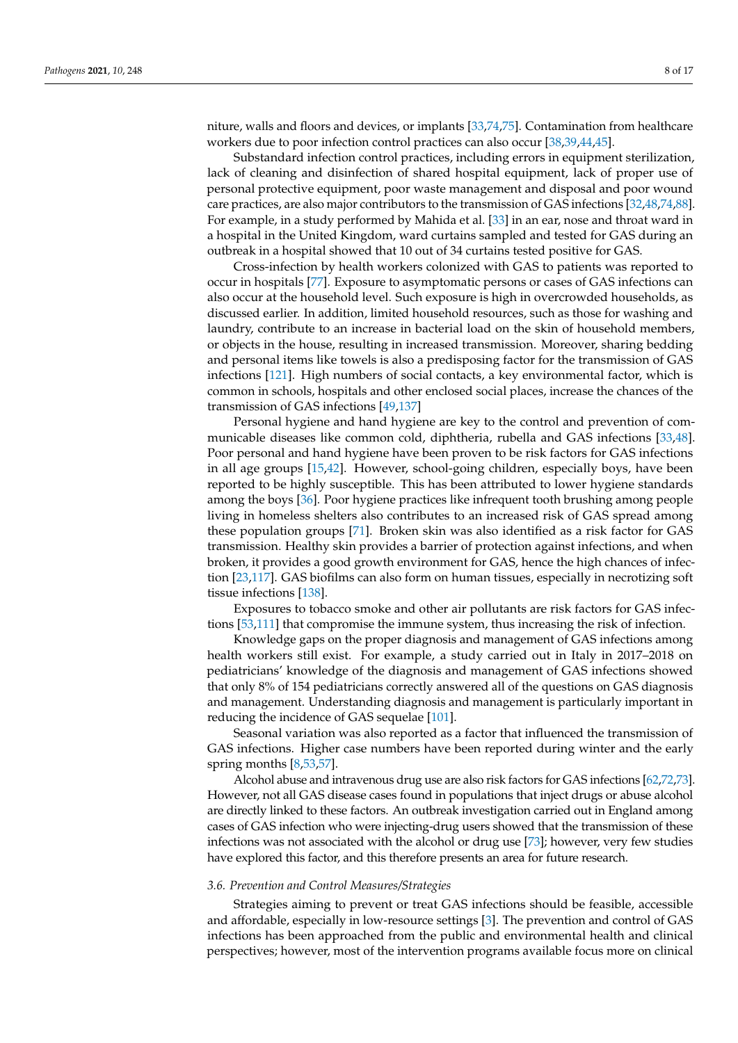niture, walls and floors and devices, or implants [\[33](#page-12-4)[,74](#page-13-7)[,75\]](#page-13-8). Contamination from healthcare workers due to poor infection control practices can also occur [\[38,](#page-12-5)[39](#page-12-15)[,44](#page-12-17)[,45\]](#page-12-20).

Substandard infection control practices, including errors in equipment sterilization, lack of cleaning and disinfection of shared hospital equipment, lack of proper use of personal protective equipment, poor waste management and disposal and poor wound care practices, are also major contributors to the transmission of GAS infections [\[32,](#page-12-19)[48,](#page-12-8)[74](#page-13-7)[,88\]](#page-14-1). For example, in a study performed by Mahida et al. [\[33\]](#page-12-4) in an ear, nose and throat ward in a hospital in the United Kingdom, ward curtains sampled and tested for GAS during an outbreak in a hospital showed that 10 out of 34 curtains tested positive for GAS.

Cross-infection by health workers colonized with GAS to patients was reported to occur in hospitals [\[77\]](#page-13-10). Exposure to asymptomatic persons or cases of GAS infections can also occur at the household level. Such exposure is high in overcrowded households, as discussed earlier. In addition, limited household resources, such as those for washing and laundry, contribute to an increase in bacterial load on the skin of household members, or objects in the house, resulting in increased transmission. Moreover, sharing bedding and personal items like towels is also a predisposing factor for the transmission of GAS infections [\[121\]](#page-15-10). High numbers of social contacts, a key environmental factor, which is common in schools, hospitals and other enclosed social places, increase the chances of the transmission of GAS infections [\[49,](#page-12-9)[137\]](#page-16-8)

Personal hygiene and hand hygiene are key to the control and prevention of communicable diseases like common cold, diphtheria, rubella and GAS infections [\[33,](#page-12-4)[48\]](#page-12-8). Poor personal and hand hygiene have been proven to be risk factors for GAS infections in all age groups [\[15](#page-11-7)[,42\]](#page-12-7). However, school-going children, especially boys, have been reported to be highly susceptible. This has been attributed to lower hygiene standards among the boys [\[36\]](#page-12-2). Poor hygiene practices like infrequent tooth brushing among people living in homeless shelters also contributes to an increased risk of GAS spread among these population groups [\[71\]](#page-13-12). Broken skin was also identified as a risk factor for GAS transmission. Healthy skin provides a barrier of protection against infections, and when broken, it provides a good growth environment for GAS, hence the high chances of infection [\[23,](#page-11-17)[117\]](#page-15-5). GAS biofilms can also form on human tissues, especially in necrotizing soft tissue infections [\[138\]](#page-16-9).

Exposures to tobacco smoke and other air pollutants are risk factors for GAS infections [\[53,](#page-12-18)[111\]](#page-15-3) that compromise the immune system, thus increasing the risk of infection.

Knowledge gaps on the proper diagnosis and management of GAS infections among health workers still exist. For example, a study carried out in Italy in 2017–2018 on pediatricians' knowledge of the diagnosis and management of GAS infections showed that only 8% of 154 pediatricians correctly answered all of the questions on GAS diagnosis and management. Understanding diagnosis and management is particularly important in reducing the incidence of GAS sequelae [\[101\]](#page-14-15).

Seasonal variation was also reported as a factor that influenced the transmission of GAS infections. Higher case numbers have been reported during winter and the early spring months [\[8,](#page-11-1)[53,](#page-12-18)[57\]](#page-12-14).

Alcohol abuse and intravenous drug use are also risk factors for GAS infections [\[62](#page-13-2)[,72](#page-13-14)[,73\]](#page-13-6). However, not all GAS disease cases found in populations that inject drugs or abuse alcohol are directly linked to these factors. An outbreak investigation carried out in England among cases of GAS infection who were injecting-drug users showed that the transmission of these infections was not associated with the alcohol or drug use [\[73\]](#page-13-6); however, very few studies have explored this factor, and this therefore presents an area for future research.

# *3.6. Prevention and Control Measures/Strategies*

Strategies aiming to prevent or treat GAS infections should be feasible, accessible and affordable, especially in low-resource settings [\[3\]](#page-10-2). The prevention and control of GAS infections has been approached from the public and environmental health and clinical perspectives; however, most of the intervention programs available focus more on clinical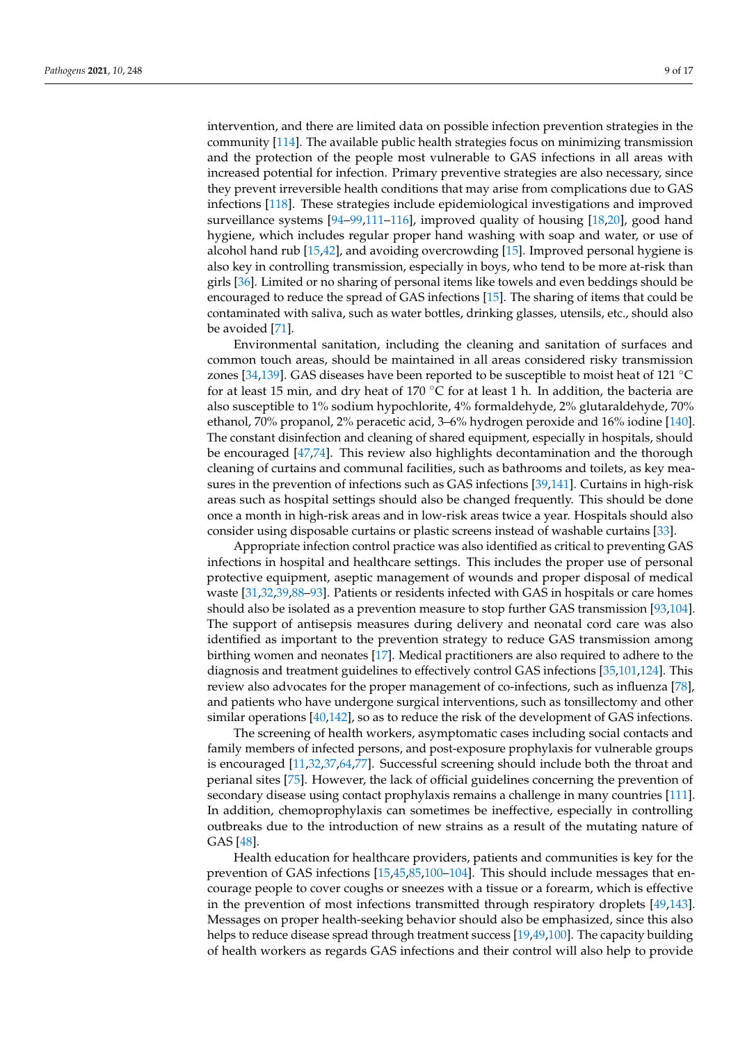intervention, and there are limited data on possible infection prevention strategies in the community [\[114\]](#page-15-18). The available public health strategies focus on minimizing transmission and the protection of the people most vulnerable to GAS infections in all areas with increased potential for infection. Primary preventive strategies are also necessary, since they prevent irreversible health conditions that may arise from complications due to GAS infections [\[118\]](#page-15-6). These strategies include epidemiological investigations and improved surveillance systems [\[94–](#page-14-3)[99](#page-14-4)[,111–](#page-15-3)[116\]](#page-15-4), improved quality of housing [\[18](#page-11-18)[,20\]](#page-11-11), good hand hygiene, which includes regular proper hand washing with soap and water, or use of alcohol hand rub [\[15,](#page-11-7)[42\]](#page-12-7), and avoiding overcrowding [\[15\]](#page-11-7). Improved personal hygiene is also key in controlling transmission, especially in boys, who tend to be more at-risk than girls [\[36\]](#page-12-2). Limited or no sharing of personal items like towels and even beddings should be encouraged to reduce the spread of GAS infections [\[15\]](#page-11-7). The sharing of items that could be contaminated with saliva, such as water bottles, drinking glasses, utensils, etc., should also be avoided [\[71\]](#page-13-12).

Environmental sanitation, including the cleaning and sanitation of surfaces and common touch areas, should be maintained in all areas considered risky transmission zones [\[34](#page-12-0)[,139\]](#page-16-10). GAS diseases have been reported to be susceptible to moist heat of 121 ◦C for at least 15 min, and dry heat of 170 °C for at least 1 h. In addition, the bacteria are also susceptible to 1% sodium hypochlorite, 4% formaldehyde, 2% glutaraldehyde, 70% ethanol, 70% propanol, 2% peracetic acid, 3–6% hydrogen peroxide and 16% iodine [\[140\]](#page-16-11). The constant disinfection and cleaning of shared equipment, especially in hospitals, should be encouraged [\[47](#page-12-21)[,74\]](#page-13-7). This review also highlights decontamination and the thorough cleaning of curtains and communal facilities, such as bathrooms and toilets, as key measures in the prevention of infections such as GAS infections [\[39,](#page-12-15)[141\]](#page-16-12). Curtains in high-risk areas such as hospital settings should also be changed frequently. This should be done once a month in high-risk areas and in low-risk areas twice a year. Hospitals should also consider using disposable curtains or plastic screens instead of washable curtains [\[33\]](#page-12-4).

Appropriate infection control practice was also identified as critical to preventing GAS infections in hospital and healthcare settings. This includes the proper use of personal protective equipment, aseptic management of wounds and proper disposal of medical waste [\[31,](#page-11-14)[32,](#page-12-19)[39,](#page-12-15)[88](#page-14-1)[–93\]](#page-14-2). Patients or residents infected with GAS in hospitals or care homes should also be isolated as a prevention measure to stop further GAS transmission [\[93](#page-14-2)[,104\]](#page-14-7). The support of antisepsis measures during delivery and neonatal cord care was also identified as important to the prevention strategy to reduce GAS transmission among birthing women and neonates [\[17\]](#page-11-9). Medical practitioners are also required to adhere to the diagnosis and treatment guidelines to effectively control GAS infections [\[35,](#page-12-1)[101,](#page-14-15)[124\]](#page-15-13). This review also advocates for the proper management of co-infections, such as influenza [\[78\]](#page-13-13), and patients who have undergone surgical interventions, such as tonsillectomy and other similar operations [\[40](#page-12-22)[,142\]](#page-16-13), so as to reduce the risk of the development of GAS infections.

The screening of health workers, asymptomatic cases including social contacts and family members of infected persons, and post-exposure prophylaxis for vulnerable groups is encouraged [\[11](#page-11-4)[,32](#page-12-19)[,37](#page-12-3)[,64](#page-13-11)[,77\]](#page-13-10). Successful screening should include both the throat and perianal sites [\[75\]](#page-13-8). However, the lack of official guidelines concerning the prevention of secondary disease using contact prophylaxis remains a challenge in many countries [\[111\]](#page-15-3). In addition, chemoprophylaxis can sometimes be ineffective, especially in controlling outbreaks due to the introduction of new strains as a result of the mutating nature of GAS [\[48\]](#page-12-8).

Health education for healthcare providers, patients and communities is key for the prevention of GAS infections [\[15](#page-11-7)[,45](#page-12-20)[,85](#page-14-5)[,100](#page-14-6)[–104\]](#page-14-7). This should include messages that encourage people to cover coughs or sneezes with a tissue or a forearm, which is effective in the prevention of most infections transmitted through respiratory droplets [\[49,](#page-12-9)[143\]](#page-16-14). Messages on proper health-seeking behavior should also be emphasized, since this also helps to reduce disease spread through treatment success [\[19,](#page-11-10)[49](#page-12-9)[,100\]](#page-14-6). The capacity building of health workers as regards GAS infections and their control will also help to provide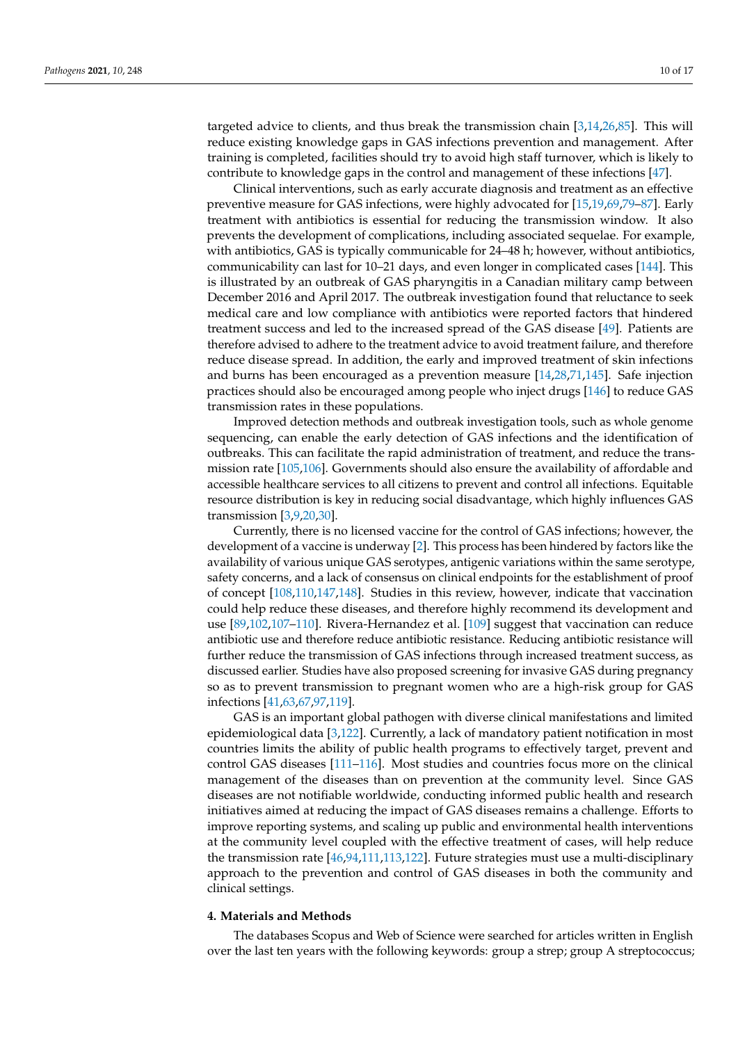targeted advice to clients, and thus break the transmission chain [\[3,](#page-10-2)[14,](#page-11-6)[26,](#page-11-21)[85\]](#page-14-5). This will reduce existing knowledge gaps in GAS infections prevention and management. After training is completed, facilities should try to avoid high staff turnover, which is likely to contribute to knowledge gaps in the control and management of these infections [\[47\]](#page-12-21).

Clinical interventions, such as early accurate diagnosis and treatment as an effective preventive measure for GAS infections, were highly advocated for [\[15](#page-11-7)[,19](#page-11-10)[,69](#page-13-4)[,79](#page-13-15)[–87\]](#page-14-0). Early treatment with antibiotics is essential for reducing the transmission window. It also prevents the development of complications, including associated sequelae. For example, with antibiotics, GAS is typically communicable for 24–48 h; however, without antibiotics, communicability can last for 10–21 days, and even longer in complicated cases [\[144\]](#page-16-15). This is illustrated by an outbreak of GAS pharyngitis in a Canadian military camp between December 2016 and April 2017. The outbreak investigation found that reluctance to seek medical care and low compliance with antibiotics were reported factors that hindered treatment success and led to the increased spread of the GAS disease [\[49\]](#page-12-9). Patients are therefore advised to adhere to the treatment advice to avoid treatment failure, and therefore reduce disease spread. In addition, the early and improved treatment of skin infections and burns has been encouraged as a prevention measure [\[14](#page-11-6)[,28](#page-11-19)[,71](#page-13-12)[,145\]](#page-16-16). Safe injection practices should also be encouraged among people who inject drugs [\[146\]](#page-16-17) to reduce GAS transmission rates in these populations.

Improved detection methods and outbreak investigation tools, such as whole genome sequencing, can enable the early detection of GAS infections and the identification of outbreaks. This can facilitate the rapid administration of treatment, and reduce the transmission rate [\[105](#page-14-8)[,106\]](#page-15-0). Governments should also ensure the availability of affordable and accessible healthcare services to all citizens to prevent and control all infections. Equitable resource distribution is key in reducing social disadvantage, which highly influences GAS transmission [\[3,](#page-10-2)[9](#page-11-2)[,20](#page-11-11)[,30\]](#page-11-13).

Currently, there is no licensed vaccine for the control of GAS infections; however, the development of a vaccine is underway [\[2\]](#page-10-1). This process has been hindered by factors like the availability of various unique GAS serotypes, antigenic variations within the same serotype, safety concerns, and a lack of consensus on clinical endpoints for the establishment of proof of concept [\[108,](#page-15-19)[110,](#page-15-2)[147,](#page-16-18)[148\]](#page-16-19). Studies in this review, however, indicate that vaccination could help reduce these diseases, and therefore highly recommend its development and use [\[89](#page-14-9)[,102,](#page-14-10)[107–](#page-15-1)[110\]](#page-15-2). Rivera-Hernandez et al. [\[109\]](#page-15-20) suggest that vaccination can reduce antibiotic use and therefore reduce antibiotic resistance. Reducing antibiotic resistance will further reduce the transmission of GAS infections through increased treatment success, as discussed earlier. Studies have also proposed screening for invasive GAS during pregnancy so as to prevent transmission to pregnant women who are a high-risk group for GAS infections [\[41](#page-12-6)[,63](#page-13-3)[,67](#page-13-16)[,97,](#page-14-11)[119\]](#page-15-7).

GAS is an important global pathogen with diverse clinical manifestations and limited epidemiological data [\[3](#page-10-2)[,122\]](#page-15-11). Currently, a lack of mandatory patient notification in most countries limits the ability of public health programs to effectively target, prevent and control GAS diseases [\[111–](#page-15-3)[116\]](#page-15-4). Most studies and countries focus more on the clinical management of the diseases than on prevention at the community level. Since GAS diseases are not notifiable worldwide, conducting informed public health and research initiatives aimed at reducing the impact of GAS diseases remains a challenge. Efforts to improve reporting systems, and scaling up public and environmental health interventions at the community level coupled with the effective treatment of cases, will help reduce the transmission rate [\[46](#page-12-23)[,94](#page-14-3)[,111](#page-15-3)[,113](#page-15-21)[,122\]](#page-15-11). Future strategies must use a multi-disciplinary approach to the prevention and control of GAS diseases in both the community and clinical settings.

# **4. Materials and Methods**

The databases Scopus and Web of Science were searched for articles written in English over the last ten years with the following keywords: group a strep; group A streptococcus;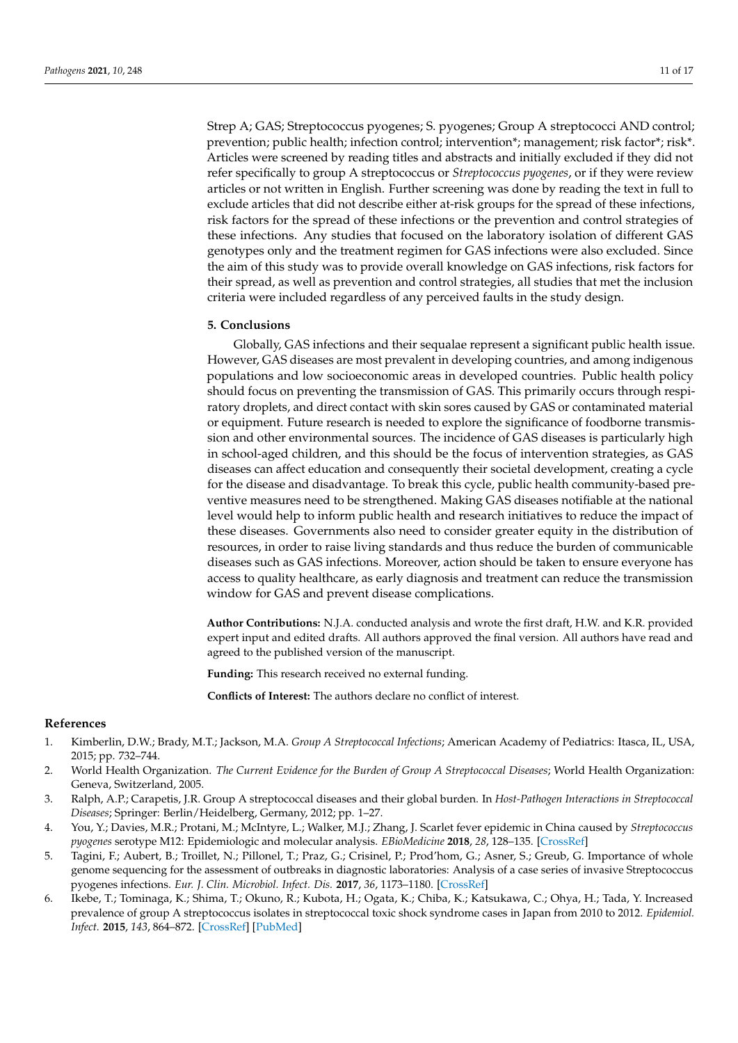Strep A; GAS; Streptococcus pyogenes; S. pyogenes; Group A streptococci AND control; prevention; public health; infection control; intervention\*; management; risk factor\*; risk\*. Articles were screened by reading titles and abstracts and initially excluded if they did not refer specifically to group A streptococcus or *Streptococcus pyogenes*, or if they were review articles or not written in English. Further screening was done by reading the text in full to exclude articles that did not describe either at-risk groups for the spread of these infections, risk factors for the spread of these infections or the prevention and control strategies of these infections. Any studies that focused on the laboratory isolation of different GAS genotypes only and the treatment regimen for GAS infections were also excluded. Since the aim of this study was to provide overall knowledge on GAS infections, risk factors for their spread, as well as prevention and control strategies, all studies that met the inclusion criteria were included regardless of any perceived faults in the study design.

#### **5. Conclusions**

Globally, GAS infections and their sequalae represent a significant public health issue. However, GAS diseases are most prevalent in developing countries, and among indigenous populations and low socioeconomic areas in developed countries. Public health policy should focus on preventing the transmission of GAS. This primarily occurs through respiratory droplets, and direct contact with skin sores caused by GAS or contaminated material or equipment. Future research is needed to explore the significance of foodborne transmission and other environmental sources. The incidence of GAS diseases is particularly high in school-aged children, and this should be the focus of intervention strategies, as GAS diseases can affect education and consequently their societal development, creating a cycle for the disease and disadvantage. To break this cycle, public health community-based preventive measures need to be strengthened. Making GAS diseases notifiable at the national level would help to inform public health and research initiatives to reduce the impact of these diseases. Governments also need to consider greater equity in the distribution of resources, in order to raise living standards and thus reduce the burden of communicable diseases such as GAS infections. Moreover, action should be taken to ensure everyone has access to quality healthcare, as early diagnosis and treatment can reduce the transmission window for GAS and prevent disease complications.

**Author Contributions:** N.J.A. conducted analysis and wrote the first draft, H.W. and K.R. provided expert input and edited drafts. All authors approved the final version. All authors have read and agreed to the published version of the manuscript.

**Funding:** This research received no external funding.

**Conflicts of Interest:** The authors declare no conflict of interest.

# **References**

- <span id="page-10-0"></span>1. Kimberlin, D.W.; Brady, M.T.; Jackson, M.A. *Group A Streptococcal Infections*; American Academy of Pediatrics: Itasca, IL, USA, 2015; pp. 732–744.
- <span id="page-10-1"></span>2. World Health Organization. *The Current Evidence for the Burden of Group A Streptococcal Diseases*; World Health Organization: Geneva, Switzerland, 2005.
- <span id="page-10-2"></span>3. Ralph, A.P.; Carapetis, J.R. Group A streptococcal diseases and their global burden. In *Host-Pathogen Interactions in Streptococcal Diseases*; Springer: Berlin/Heidelberg, Germany, 2012; pp. 1–27.
- <span id="page-10-3"></span>4. You, Y.; Davies, M.R.; Protani, M.; McIntyre, L.; Walker, M.J.; Zhang, J. Scarlet fever epidemic in China caused by *Streptococcus pyogenes* serotype M12: Epidemiologic and molecular analysis. *EBioMedicine* **2018**, *28*, 128–135. [\[CrossRef\]](http://doi.org/10.1016/j.ebiom.2018.01.010)
- 5. Tagini, F.; Aubert, B.; Troillet, N.; Pillonel, T.; Praz, G.; Crisinel, P.; Prod'hom, G.; Asner, S.; Greub, G. Importance of whole genome sequencing for the assessment of outbreaks in diagnostic laboratories: Analysis of a case series of invasive Streptococcus pyogenes infections. *Eur. J. Clin. Microbiol. Infect. Dis.* **2017**, *36*, 1173–1180. [\[CrossRef\]](http://doi.org/10.1007/s10096-017-2905-z)
- <span id="page-10-4"></span>6. Ikebe, T.; Tominaga, K.; Shima, T.; Okuno, R.; Kubota, H.; Ogata, K.; Chiba, K.; Katsukawa, C.; Ohya, H.; Tada, Y. Increased prevalence of group A streptococcus isolates in streptococcal toxic shock syndrome cases in Japan from 2010 to 2012. *Epidemiol. Infect.* **2015**, *143*, 864–872. [\[CrossRef\]](http://doi.org/10.1017/S0950268814001265) [\[PubMed\]](http://www.ncbi.nlm.nih.gov/pubmed/25703404)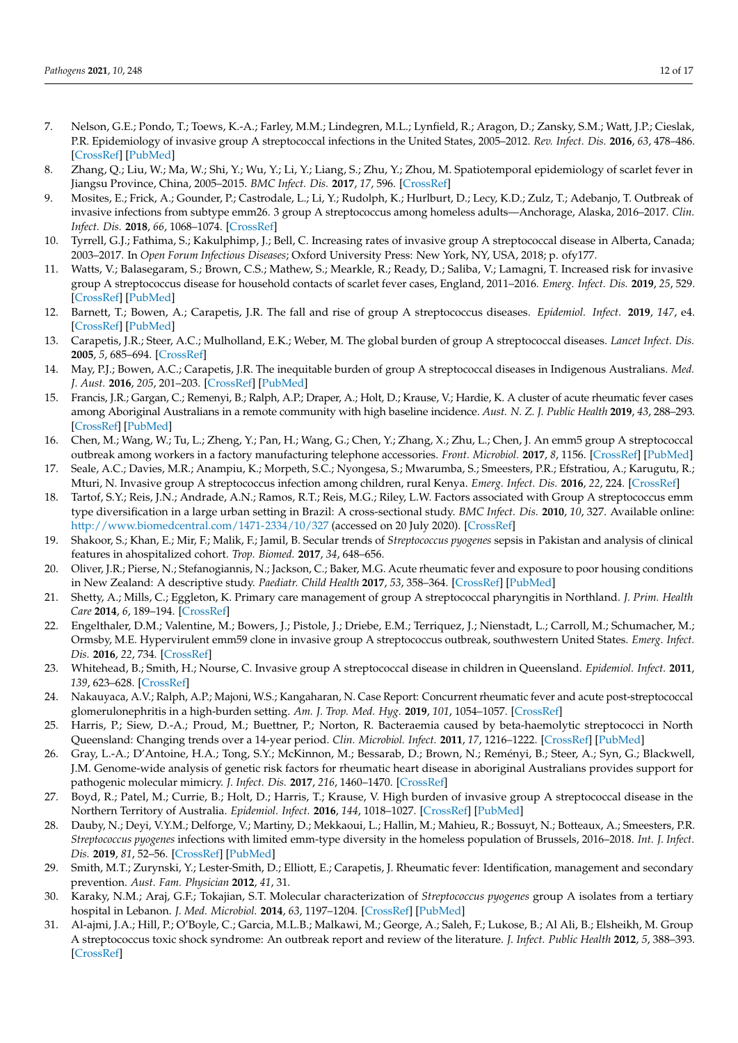- <span id="page-11-0"></span>7. Nelson, G.E.; Pondo, T.; Toews, K.-A.; Farley, M.M.; Lindegren, M.L.; Lynfield, R.; Aragon, D.; Zansky, S.M.; Watt, J.P.; Cieslak, P.R. Epidemiology of invasive group A streptococcal infections in the United States, 2005–2012. *Rev. Infect. Dis.* **2016**, *63*, 478–486. [\[CrossRef\]](http://doi.org/10.1093/cid/ciw248) [\[PubMed\]](http://www.ncbi.nlm.nih.gov/pubmed/27105747)
- <span id="page-11-1"></span>8. Zhang, Q.; Liu, W.; Ma, W.; Shi, Y.; Wu, Y.; Li, Y.; Liang, S.; Zhu, Y.; Zhou, M. Spatiotemporal epidemiology of scarlet fever in Jiangsu Province, China, 2005–2015. *BMC Infect. Dis.* **2017**, *17*, 596. [\[CrossRef\]](http://doi.org/10.1186/s12879-017-2681-5)
- <span id="page-11-2"></span>9. Mosites, E.; Frick, A.; Gounder, P.; Castrodale, L.; Li, Y.; Rudolph, K.; Hurlburt, D.; Lecy, K.D.; Zulz, T.; Adebanjo, T. Outbreak of invasive infections from subtype emm26. 3 group A streptococcus among homeless adults—Anchorage, Alaska, 2016–2017. *Clin. Infect. Dis.* **2018**, *66*, 1068–1074. [\[CrossRef\]](http://doi.org/10.1093/cid/cix921)
- <span id="page-11-3"></span>10. Tyrrell, G.J.; Fathima, S.; Kakulphimp, J.; Bell, C. Increasing rates of invasive group A streptococcal disease in Alberta, Canada; 2003–2017. In *Open Forum Infectious Diseases*; Oxford University Press: New York, NY, USA, 2018; p. ofy177.
- <span id="page-11-4"></span>11. Watts, V.; Balasegaram, S.; Brown, C.S.; Mathew, S.; Mearkle, R.; Ready, D.; Saliba, V.; Lamagni, T. Increased risk for invasive group A streptococcus disease for household contacts of scarlet fever cases, England, 2011–2016. *Emerg. Infect. Dis.* **2019**, *25*, 529. [\[CrossRef\]](http://doi.org/10.3201/eid2503.181518) [\[PubMed\]](http://www.ncbi.nlm.nih.gov/pubmed/30602121)
- <span id="page-11-5"></span>12. Barnett, T.; Bowen, A.; Carapetis, J.R. The fall and rise of group A streptococcus diseases. *Epidemiol. Infect.* **2019**, *147*, e4. [\[CrossRef\]](http://doi.org/10.1017/S0950268818002285) [\[PubMed\]](http://www.ncbi.nlm.nih.gov/pubmed/30109840)
- 13. Carapetis, J.R.; Steer, A.C.; Mulholland, E.K.; Weber, M. The global burden of group A streptococcal diseases. *Lancet Infect. Dis.* **2005**, *5*, 685–694. [\[CrossRef\]](http://doi.org/10.1016/S1473-3099(05)70267-X)
- <span id="page-11-6"></span>14. May, P.J.; Bowen, A.C.; Carapetis, J.R. The inequitable burden of group A streptococcal diseases in Indigenous Australians. *Med. J. Aust.* **2016**, *205*, 201–203. [\[CrossRef\]](http://doi.org/10.5694/mja16.00400) [\[PubMed\]](http://www.ncbi.nlm.nih.gov/pubmed/27581260)
- <span id="page-11-7"></span>15. Francis, J.R.; Gargan, C.; Remenyi, B.; Ralph, A.P.; Draper, A.; Holt, D.; Krause, V.; Hardie, K. A cluster of acute rheumatic fever cases among Aboriginal Australians in a remote community with high baseline incidence. *Aust. N. Z. J. Public Health* **2019**, *43*, 288–293. [\[CrossRef\]](http://doi.org/10.1111/1753-6405.12893) [\[PubMed\]](http://www.ncbi.nlm.nih.gov/pubmed/30994967)
- <span id="page-11-8"></span>16. Chen, M.; Wang, W.; Tu, L.; Zheng, Y.; Pan, H.; Wang, G.; Chen, Y.; Zhang, X.; Zhu, L.; Chen, J. An emm5 group A streptococcal outbreak among workers in a factory manufacturing telephone accessories. *Front. Microbiol.* **2017**, *8*, 1156. [\[CrossRef\]](http://doi.org/10.3389/fmicb.2017.01156) [\[PubMed\]](http://www.ncbi.nlm.nih.gov/pubmed/28680421)
- <span id="page-11-9"></span>17. Seale, A.C.; Davies, M.R.; Anampiu, K.; Morpeth, S.C.; Nyongesa, S.; Mwarumba, S.; Smeesters, P.R.; Efstratiou, A.; Karugutu, R.; Mturi, N. Invasive group A streptococcus infection among children, rural Kenya. *Emerg. Infect. Dis.* **2016**, *22*, 224. [\[CrossRef\]](http://doi.org/10.3201/eid2202.151358)
- <span id="page-11-18"></span>18. Tartof, S.Y.; Reis, J.N.; Andrade, A.N.; Ramos, R.T.; Reis, M.G.; Riley, L.W. Factors associated with Group A streptococcus emm type diversification in a large urban setting in Brazil: A cross-sectional study. *BMC Infect. Dis.* **2010**, *10*, 327. Available online: <http://www.biomedcentral.com/1471-2334/10/327> (accessed on 20 July 2020). [\[CrossRef\]](http://doi.org/10.1186/1471-2334-10-327)
- <span id="page-11-10"></span>19. Shakoor, S.; Khan, E.; Mir, F.; Malik, F.; Jamil, B. Secular trends of *Streptococcus pyogenes* sepsis in Pakistan and analysis of clinical features in ahospitalized cohort. *Trop. Biomed.* **2017**, *34*, 648–656.
- <span id="page-11-11"></span>20. Oliver, J.R.; Pierse, N.; Stefanogiannis, N.; Jackson, C.; Baker, M.G. Acute rheumatic fever and exposure to poor housing conditions in New Zealand: A descriptive study. *Paediatr. Child Health* **2017**, *53*, 358–364. [\[CrossRef\]](http://doi.org/10.1111/jpc.13421) [\[PubMed\]](http://www.ncbi.nlm.nih.gov/pubmed/28052445)
- <span id="page-11-20"></span>21. Shetty, A.; Mills, C.; Eggleton, K. Primary care management of group A streptococcal pharyngitis in Northland. *J. Prim. Health Care* **2014**, *6*, 189–194. [\[CrossRef\]](http://doi.org/10.1071/HC14189)
- <span id="page-11-15"></span>22. Engelthaler, D.M.; Valentine, M.; Bowers, J.; Pistole, J.; Driebe, E.M.; Terriquez, J.; Nienstadt, L.; Carroll, M.; Schumacher, M.; Ormsby, M.E. Hypervirulent emm59 clone in invasive group A streptococcus outbreak, southwestern United States. *Emerg. Infect. Dis.* **2016**, *22*, 734. [\[CrossRef\]](http://doi.org/10.3201/eid2204.151582)
- <span id="page-11-17"></span>23. Whitehead, B.; Smith, H.; Nourse, C. Invasive group A streptococcal disease in children in Queensland. *Epidemiol. Infect.* **2011**, *139*, 623–628. [\[CrossRef\]](http://doi.org/10.1017/S0950268810001378)
- 24. Nakauyaca, A.V.; Ralph, A.P.; Majoni, W.S.; Kangaharan, N. Case Report: Concurrent rheumatic fever and acute post-streptococcal glomerulonephritis in a high-burden setting. *Am. J. Trop. Med. Hyg.* **2019**, *101*, 1054–1057. [\[CrossRef\]](http://doi.org/10.4269/ajtmh.18-0954)
- 25. Harris, P.; Siew, D.-A.; Proud, M.; Buettner, P.; Norton, R. Bacteraemia caused by beta-haemolytic streptococci in North Queensland: Changing trends over a 14-year period. *Clin. Microbiol. Infect.* **2011**, *17*, 1216–1222. [\[CrossRef\]](http://doi.org/10.1111/j.1469-0691.2010.03427.x) [\[PubMed\]](http://www.ncbi.nlm.nih.gov/pubmed/21073630)
- <span id="page-11-21"></span>26. Gray, L.-A.; D'Antoine, H.A.; Tong, S.Y.; McKinnon, M.; Bessarab, D.; Brown, N.; Reményi, B.; Steer, A.; Syn, G.; Blackwell, J.M. Genome-wide analysis of genetic risk factors for rheumatic heart disease in aboriginal Australians provides support for pathogenic molecular mimicry. *J. Infect. Dis.* **2017**, *216*, 1460–1470. [\[CrossRef\]](http://doi.org/10.1093/infdis/jix497)
- <span id="page-11-16"></span>27. Boyd, R.; Patel, M.; Currie, B.; Holt, D.; Harris, T.; Krause, V. High burden of invasive group A streptococcal disease in the Northern Territory of Australia. *Epidemiol. Infect.* **2016**, *144*, 1018–1027. [\[CrossRef\]](http://doi.org/10.1017/S0950268815002010) [\[PubMed\]](http://www.ncbi.nlm.nih.gov/pubmed/26364646)
- <span id="page-11-19"></span>28. Dauby, N.; Deyi, V.Y.M.; Delforge, V.; Martiny, D.; Mekkaoui, L.; Hallin, M.; Mahieu, R.; Bossuyt, N.; Botteaux, A.; Smeesters, P.R. *Streptococcus pyogenes* infections with limited emm-type diversity in the homeless population of Brussels, 2016–2018. *Int. J. Infect. Dis.* **2019**, *81*, 52–56. [\[CrossRef\]](http://doi.org/10.1016/j.ijid.2019.01.026) [\[PubMed\]](http://www.ncbi.nlm.nih.gov/pubmed/30684741)
- <span id="page-11-12"></span>29. Smith, M.T.; Zurynski, Y.; Lester-Smith, D.; Elliott, E.; Carapetis, J. Rheumatic fever: Identification, management and secondary prevention. *Aust. Fam. Physician* **2012**, *41*, 31.
- <span id="page-11-13"></span>30. Karaky, N.M.; Araj, G.F.; Tokajian, S.T. Molecular characterization of *Streptococcus pyogenes* group A isolates from a tertiary hospital in Lebanon. *J. Med. Microbiol.* **2014**, *63*, 1197–1204. [\[CrossRef\]](http://doi.org/10.1099/jmm.0.063412-0) [\[PubMed\]](http://www.ncbi.nlm.nih.gov/pubmed/24980572)
- <span id="page-11-14"></span>31. Al-ajmi, J.A.; Hill, P.; O'Boyle, C.; Garcia, M.L.B.; Malkawi, M.; George, A.; Saleh, F.; Lukose, B.; Al Ali, B.; Elsheikh, M. Group A streptococcus toxic shock syndrome: An outbreak report and review of the literature. *J. Infect. Public Health* **2012**, *5*, 388–393. [\[CrossRef\]](http://doi.org/10.1016/j.jiph.2012.07.006)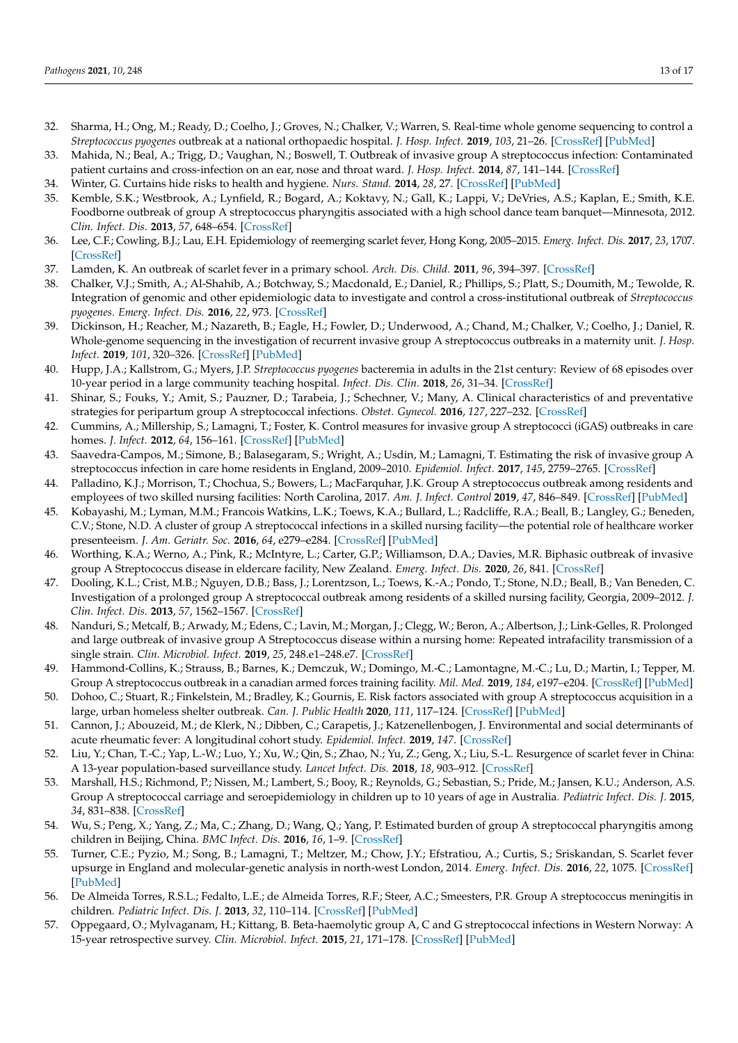- <span id="page-12-19"></span>32. Sharma, H.; Ong, M.; Ready, D.; Coelho, J.; Groves, N.; Chalker, V.; Warren, S. Real-time whole genome sequencing to control a *Streptococcus pyogenes* outbreak at a national orthopaedic hospital. *J. Hosp. Infect.* **2019**, *103*, 21–26. [\[CrossRef\]](http://doi.org/10.1016/j.jhin.2019.07.003) [\[PubMed\]](http://www.ncbi.nlm.nih.gov/pubmed/31283948)
- <span id="page-12-4"></span>33. Mahida, N.; Beal, A.; Trigg, D.; Vaughan, N.; Boswell, T. Outbreak of invasive group A streptococcus infection: Contaminated patient curtains and cross-infection on an ear, nose and throat ward. *J. Hosp. Infect.* **2014**, *87*, 141–144. [\[CrossRef\]](http://doi.org/10.1016/j.jhin.2014.04.007)
- <span id="page-12-0"></span>34. Winter, G. Curtains hide risks to health and hygiene. *Nurs. Stand.* **2014**, *28*, 27. [\[CrossRef\]](http://doi.org/10.7748/ns.28.46.27.s28) [\[PubMed\]](http://www.ncbi.nlm.nih.gov/pubmed/25027902)
- <span id="page-12-1"></span>35. Kemble, S.K.; Westbrook, A.; Lynfield, R.; Bogard, A.; Koktavy, N.; Gall, K.; Lappi, V.; DeVries, A.S.; Kaplan, E.; Smith, K.E. Foodborne outbreak of group A streptococcus pharyngitis associated with a high school dance team banquet—Minnesota, 2012. *Clin. Infect. Dis.* **2013**, *57*, 648–654. [\[CrossRef\]](http://doi.org/10.1093/cid/cit359)
- <span id="page-12-2"></span>36. Lee, C.F.; Cowling, B.J.; Lau, E.H. Epidemiology of reemerging scarlet fever, Hong Kong, 2005–2015. *Emerg. Infect. Dis.* **2017**, *23*, 1707. [\[CrossRef\]](http://doi.org/10.3201/eid2310.161456)
- <span id="page-12-3"></span>37. Lamden, K. An outbreak of scarlet fever in a primary school. *Arch. Dis. Child.* **2011**, *96*, 394–397. [\[CrossRef\]](http://doi.org/10.1136/adc.2010.189944)
- <span id="page-12-5"></span>38. Chalker, V.J.; Smith, A.; Al-Shahib, A.; Botchway, S.; Macdonald, E.; Daniel, R.; Phillips, S.; Platt, S.; Doumith, M.; Tewolde, R. Integration of genomic and other epidemiologic data to investigate and control a cross-institutional outbreak of *Streptococcus pyogenes*. *Emerg. Infect. Dis.* **2016**, *22*, 973. [\[CrossRef\]](http://doi.org/10.3201/eid2206.142050)
- <span id="page-12-15"></span>39. Dickinson, H.; Reacher, M.; Nazareth, B.; Eagle, H.; Fowler, D.; Underwood, A.; Chand, M.; Chalker, V.; Coelho, J.; Daniel, R. Whole-genome sequencing in the investigation of recurrent invasive group A streptococcus outbreaks in a maternity unit. *J. Hosp. Infect.* **2019**, *101*, 320–326. [\[CrossRef\]](http://doi.org/10.1016/j.jhin.2018.03.018) [\[PubMed\]](http://www.ncbi.nlm.nih.gov/pubmed/29577990)
- <span id="page-12-22"></span>40. Hupp, J.A.; Kallstrom, G.; Myers, J.P. *Streptococcus pyogenes* bacteremia in adults in the 21st century: Review of 68 episodes over 10-year period in a large community teaching hospital. *Infect. Dis. Clin.* **2018**, *26*, 31–34. [\[CrossRef\]](http://doi.org/10.1097/IPC.0000000000000560)
- <span id="page-12-6"></span>41. Shinar, S.; Fouks, Y.; Amit, S.; Pauzner, D.; Tarabeia, J.; Schechner, V.; Many, A. Clinical characteristics of and preventative strategies for peripartum group A streptococcal infections. *Obstet. Gynecol.* **2016**, *127*, 227–232. [\[CrossRef\]](http://doi.org/10.1097/AOG.0000000000001238)
- <span id="page-12-7"></span>42. Cummins, A.; Millership, S.; Lamagni, T.; Foster, K. Control measures for invasive group A streptococci (iGAS) outbreaks in care homes. *J. Infect.* **2012**, *64*, 156–161. [\[CrossRef\]](http://doi.org/10.1016/j.jinf.2011.11.017) [\[PubMed\]](http://www.ncbi.nlm.nih.gov/pubmed/22138601)
- <span id="page-12-13"></span>43. Saavedra-Campos, M.; Simone, B.; Balasegaram, S.; Wright, A.; Usdin, M.; Lamagni, T. Estimating the risk of invasive group A streptococcus infection in care home residents in England, 2009–2010. *Epidemiol. Infect.* **2017**, *145*, 2759–2765. [\[CrossRef\]](http://doi.org/10.1017/S0950268817001674)
- <span id="page-12-17"></span>44. Palladino, K.J.; Morrison, T.; Chochua, S.; Bowers, L.; MacFarquhar, J.K. Group A streptococcus outbreak among residents and employees of two skilled nursing facilities: North Carolina, 2017. *Am. J. Infect. Control* **2019**, *47*, 846–849. [\[CrossRef\]](http://doi.org/10.1016/j.ajic.2018.12.006) [\[PubMed\]](http://www.ncbi.nlm.nih.gov/pubmed/30661909)
- <span id="page-12-20"></span>45. Kobayashi, M.; Lyman, M.M.; Francois Watkins, L.K.; Toews, K.A.; Bullard, L.; Radcliffe, R.A.; Beall, B.; Langley, G.; Beneden, C.V.; Stone, N.D. A cluster of group A streptococcal infections in a skilled nursing facility—the potential role of healthcare worker presenteeism. *J. Am. Geriatr. Soc.* **2016**, *64*, e279–e284. [\[CrossRef\]](http://doi.org/10.1111/jgs.14505) [\[PubMed\]](http://www.ncbi.nlm.nih.gov/pubmed/27996105)
- <span id="page-12-23"></span>46. Worthing, K.A.; Werno, A.; Pink, R.; McIntyre, L.; Carter, G.P.; Williamson, D.A.; Davies, M.R. Biphasic outbreak of invasive group A Streptococcus disease in eldercare facility, New Zealand. *Emerg. Infect. Dis.* **2020**, *26*, 841. [\[CrossRef\]](http://doi.org/10.3201/eid2605.190131)
- <span id="page-12-21"></span>47. Dooling, K.L.; Crist, M.B.; Nguyen, D.B.; Bass, J.; Lorentzson, L.; Toews, K.-A.; Pondo, T.; Stone, N.D.; Beall, B.; Van Beneden, C. Investigation of a prolonged group A streptococcal outbreak among residents of a skilled nursing facility, Georgia, 2009–2012. *J. Clin. Infect. Dis.* **2013**, *57*, 1562–1567. [\[CrossRef\]](http://doi.org/10.1093/cid/cit558)
- <span id="page-12-8"></span>48. Nanduri, S.; Metcalf, B.; Arwady, M.; Edens, C.; Lavin, M.; Morgan, J.; Clegg, W.; Beron, A.; Albertson, J.; Link-Gelles, R. Prolonged and large outbreak of invasive group A Streptococcus disease within a nursing home: Repeated intrafacility transmission of a single strain. *Clin. Microbiol. Infect.* **2019**, *25*, 248.e1–248.e7. [\[CrossRef\]](http://doi.org/10.1016/j.cmi.2018.04.034)
- <span id="page-12-9"></span>49. Hammond-Collins, K.; Strauss, B.; Barnes, K.; Demczuk, W.; Domingo, M.-C.; Lamontagne, M.-C.; Lu, D.; Martin, I.; Tepper, M. Group A streptococcus outbreak in a canadian armed forces training facility. *Mil. Med.* **2019**, *184*, e197–e204. [\[CrossRef\]](http://doi.org/10.1093/milmed/usy198) [\[PubMed\]](http://www.ncbi.nlm.nih.gov/pubmed/30137490)
- <span id="page-12-10"></span>50. Dohoo, C.; Stuart, R.; Finkelstein, M.; Bradley, K.; Gournis, E. Risk factors associated with group A streptococcus acquisition in a large, urban homeless shelter outbreak. *Can. J. Public Health* **2020**, *111*, 117–124. [\[CrossRef\]](http://doi.org/10.17269/s41997-019-00258-5) [\[PubMed\]](http://www.ncbi.nlm.nih.gov/pubmed/31605295)
- <span id="page-12-11"></span>51. Cannon, J.; Abouzeid, M.; de Klerk, N.; Dibben, C.; Carapetis, J.; Katzenellenbogen, J. Environmental and social determinants of acute rheumatic fever: A longitudinal cohort study. *Epidemiol. Infect.* **2019**, *147*. [\[CrossRef\]](http://doi.org/10.1017/S0950268818003527)
- <span id="page-12-16"></span>52. Liu, Y.; Chan, T.-C.; Yap, L.-W.; Luo, Y.; Xu, W.; Qin, S.; Zhao, N.; Yu, Z.; Geng, X.; Liu, S.-L. Resurgence of scarlet fever in China: A 13-year population-based surveillance study. *Lancet Infect. Dis.* **2018**, *18*, 903–912. [\[CrossRef\]](http://doi.org/10.1016/S1473-3099(18)30231-7)
- <span id="page-12-18"></span>53. Marshall, H.S.; Richmond, P.; Nissen, M.; Lambert, S.; Booy, R.; Reynolds, G.; Sebastian, S.; Pride, M.; Jansen, K.U.; Anderson, A.S. Group A streptococcal carriage and seroepidemiology in children up to 10 years of age in Australia. *Pediatric Infect. Dis. J.* **2015**, *34*, 831–838. [\[CrossRef\]](http://doi.org/10.1097/INF.0000000000000745)
- 54. Wu, S.; Peng, X.; Yang, Z.; Ma, C.; Zhang, D.; Wang, Q.; Yang, P. Estimated burden of group A streptococcal pharyngitis among children in Beijing, China. *BMC Infect. Dis.* **2016**, *16*, 1–9. [\[CrossRef\]](http://doi.org/10.1186/s12879-016-1775-9)
- 55. Turner, C.E.; Pyzio, M.; Song, B.; Lamagni, T.; Meltzer, M.; Chow, J.Y.; Efstratiou, A.; Curtis, S.; Sriskandan, S. Scarlet fever upsurge in England and molecular-genetic analysis in north-west London, 2014. *Emerg. Infect. Dis.* **2016**, *22*, 1075. [\[CrossRef\]](http://doi.org/10.3201/eid2206.151726) [\[PubMed\]](http://www.ncbi.nlm.nih.gov/pubmed/27192393)
- <span id="page-12-12"></span>56. De Almeida Torres, R.S.L.; Fedalto, L.E.; de Almeida Torres, R.F.; Steer, A.C.; Smeesters, P.R. Group A streptococcus meningitis in children. *Pediatric Infect. Dis. J.* **2013**, *32*, 110–114. [\[CrossRef\]](http://doi.org/10.1097/INF.0b013e31826fd4af) [\[PubMed\]](http://www.ncbi.nlm.nih.gov/pubmed/22926217)
- <span id="page-12-14"></span>57. Oppegaard, O.; Mylvaganam, H.; Kittang, B. Beta-haemolytic group A, C and G streptococcal infections in Western Norway: A 15-year retrospective survey. *Clin. Microbiol. Infect.* **2015**, *21*, 171–178. [\[CrossRef\]](http://doi.org/10.1016/j.cmi.2014.08.019) [\[PubMed\]](http://www.ncbi.nlm.nih.gov/pubmed/25658557)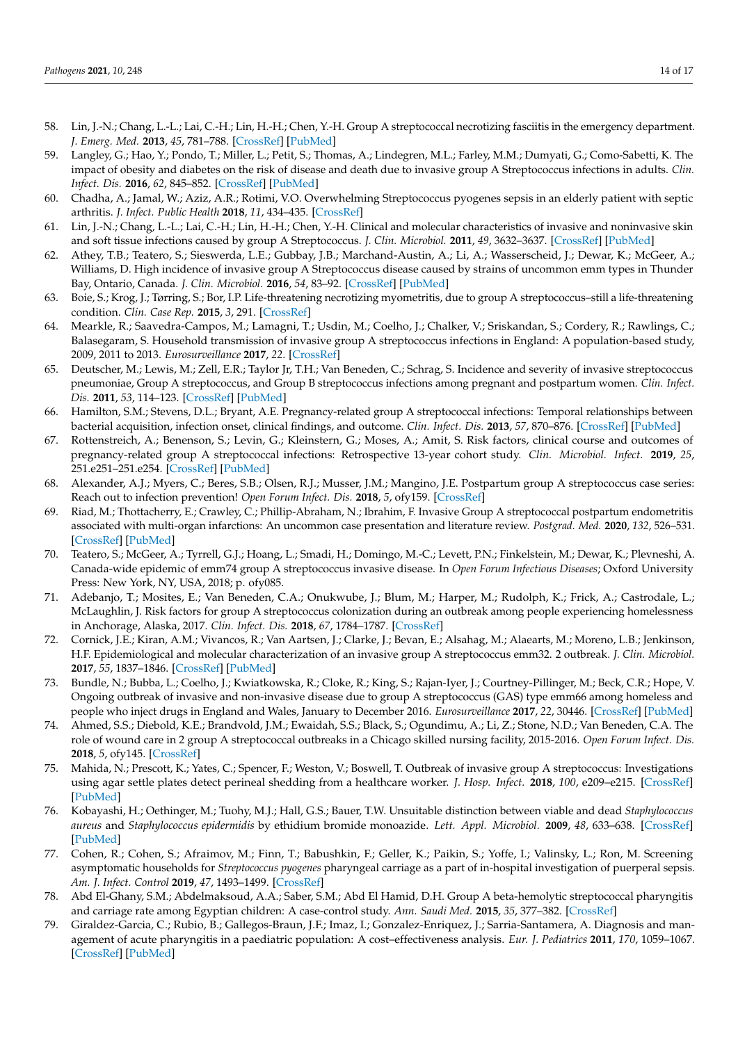- <span id="page-13-0"></span>58. Lin, J.-N.; Chang, L.-L.; Lai, C.-H.; Lin, H.-H.; Chen, Y.-H. Group A streptococcal necrotizing fasciitis in the emergency department. *J. Emerg. Med.* **2013**, *45*, 781–788. [\[CrossRef\]](http://doi.org/10.1016/j.jemermed.2013.05.046) [\[PubMed\]](http://www.ncbi.nlm.nih.gov/pubmed/23937806)
- <span id="page-13-1"></span>59. Langley, G.; Hao, Y.; Pondo, T.; Miller, L.; Petit, S.; Thomas, A.; Lindegren, M.L.; Farley, M.M.; Dumyati, G.; Como-Sabetti, K. The impact of obesity and diabetes on the risk of disease and death due to invasive group A Streptococcus infections in adults. *Clin. Infect. Dis.* **2016**, *62*, 845–852. [\[CrossRef\]](http://doi.org/10.1093/cid/civ1032) [\[PubMed\]](http://www.ncbi.nlm.nih.gov/pubmed/26703865)
- <span id="page-13-17"></span>60. Chadha, A.; Jamal, W.; Aziz, A.R.; Rotimi, V.O. Overwhelming Streptococcus pyogenes sepsis in an elderly patient with septic arthritis. *J. Infect. Public Health* **2018**, *11*, 434–435. [\[CrossRef\]](http://doi.org/10.1016/j.jiph.2017.08.011)
- 61. Lin, J.-N.; Chang, L.-L.; Lai, C.-H.; Lin, H.-H.; Chen, Y.-H. Clinical and molecular characteristics of invasive and noninvasive skin and soft tissue infections caused by group A Streptococcus. *J. Clin. Microbiol.* **2011**, 49, 3632-3637. [\[CrossRef\]](http://doi.org/10.1128/JCM.00531-11) [\[PubMed\]](http://www.ncbi.nlm.nih.gov/pubmed/21865425)
- <span id="page-13-2"></span>62. Athey, T.B.; Teatero, S.; Sieswerda, L.E.; Gubbay, J.B.; Marchand-Austin, A.; Li, A.; Wasserscheid, J.; Dewar, K.; McGeer, A.; Williams, D. High incidence of invasive group A Streptococcus disease caused by strains of uncommon emm types in Thunder Bay, Ontario, Canada. *J. Clin. Microbiol.* **2016**, *54*, 83–92. [\[CrossRef\]](http://doi.org/10.1128/JCM.02201-15) [\[PubMed\]](http://www.ncbi.nlm.nih.gov/pubmed/26491184)
- <span id="page-13-3"></span>63. Boie, S.; Krog, J.; Tørring, S.; Bor, I.P. Life-threatening necrotizing myometritis, due to group A streptococcus–still a life-threatening condition. *Clin. Case Rep.* **2015**, *3*, 291. [\[CrossRef\]](http://doi.org/10.1002/ccr3.217)
- <span id="page-13-11"></span>64. Mearkle, R.; Saavedra-Campos, M.; Lamagni, T.; Usdin, M.; Coelho, J.; Chalker, V.; Sriskandan, S.; Cordery, R.; Rawlings, C.; Balasegaram, S. Household transmission of invasive group A streptococcus infections in England: A population-based study, 2009, 2011 to 2013. *Eurosurveillance* **2017**, *22*. [\[CrossRef\]](http://doi.org/10.2807/1560-7917.ES.2017.22.19.30532)
- <span id="page-13-18"></span>65. Deutscher, M.; Lewis, M.; Zell, E.R.; Taylor Jr, T.H.; Van Beneden, C.; Schrag, S. Incidence and severity of invasive streptococcus pneumoniae, Group A streptococcus, and Group B streptococcus infections among pregnant and postpartum women. *Clin. Infect. Dis.* **2011**, *53*, 114–123. [\[CrossRef\]](http://doi.org/10.1093/cid/cir325) [\[PubMed\]](http://www.ncbi.nlm.nih.gov/pubmed/21690617)
- 66. Hamilton, S.M.; Stevens, D.L.; Bryant, A.E. Pregnancy-related group A streptococcal infections: Temporal relationships between bacterial acquisition, infection onset, clinical findings, and outcome. *Clin. Infect. Dis.* **2013**, *57*, 870–876. [\[CrossRef\]](http://doi.org/10.1093/cid/cit282) [\[PubMed\]](http://www.ncbi.nlm.nih.gov/pubmed/23645851)
- <span id="page-13-16"></span>67. Rottenstreich, A.; Benenson, S.; Levin, G.; Kleinstern, G.; Moses, A.; Amit, S. Risk factors, clinical course and outcomes of pregnancy-related group A streptococcal infections: Retrospective 13-year cohort study. *Clin. Microbiol. Infect.* **2019**, *25*, 251.e251–251.e254. [\[CrossRef\]](http://doi.org/10.1016/j.cmi.2018.10.002) [\[PubMed\]](http://www.ncbi.nlm.nih.gov/pubmed/30336220)
- 68. Alexander, A.J.; Myers, C.; Beres, S.B.; Olsen, R.J.; Musser, J.M.; Mangino, J.E. Postpartum group A streptococcus case series: Reach out to infection prevention! *Open Forum Infect. Dis.* **2018**, *5*, ofy159. [\[CrossRef\]](http://doi.org/10.1093/ofid/ofy159)
- <span id="page-13-4"></span>69. Riad, M.; Thottacherry, E.; Crawley, C.; Phillip-Abraham, N.; Ibrahim, F. Invasive Group A streptococcal postpartum endometritis associated with multi-organ infarctions: An uncommon case presentation and literature review. *Postgrad. Med.* **2020**, *132*, 526–531. [\[CrossRef\]](http://doi.org/10.1080/00325481.2020.1760031) [\[PubMed\]](http://www.ncbi.nlm.nih.gov/pubmed/32379557)
- <span id="page-13-5"></span>70. Teatero, S.; McGeer, A.; Tyrrell, G.J.; Hoang, L.; Smadi, H.; Domingo, M.-C.; Levett, P.N.; Finkelstein, M.; Dewar, K.; Plevneshi, A. Canada-wide epidemic of emm74 group A streptococcus invasive disease. In *Open Forum Infectious Diseases*; Oxford University Press: New York, NY, USA, 2018; p. ofy085.
- <span id="page-13-12"></span>71. Adebanjo, T.; Mosites, E.; Van Beneden, C.A.; Onukwube, J.; Blum, M.; Harper, M.; Rudolph, K.; Frick, A.; Castrodale, L.; McLaughlin, J. Risk factors for group A streptococcus colonization during an outbreak among people experiencing homelessness in Anchorage, Alaska, 2017. *Clin. Infect. Dis.* **2018**, *67*, 1784–1787. [\[CrossRef\]](http://doi.org/10.1093/cid/ciy429)
- <span id="page-13-14"></span>72. Cornick, J.E.; Kiran, A.M.; Vivancos, R.; Van Aartsen, J.; Clarke, J.; Bevan, E.; Alsahag, M.; Alaearts, M.; Moreno, L.B.; Jenkinson, H.F. Epidemiological and molecular characterization of an invasive group A streptococcus emm32. 2 outbreak. *J. Clin. Microbiol.* **2017**, *55*, 1837–1846. [\[CrossRef\]](http://doi.org/10.1128/JCM.00191-17) [\[PubMed\]](http://www.ncbi.nlm.nih.gov/pubmed/28356413)
- <span id="page-13-6"></span>73. Bundle, N.; Bubba, L.; Coelho, J.; Kwiatkowska, R.; Cloke, R.; King, S.; Rajan-Iyer, J.; Courtney-Pillinger, M.; Beck, C.R.; Hope, V. Ongoing outbreak of invasive and non-invasive disease due to group A streptococcus (GAS) type emm66 among homeless and people who inject drugs in England and Wales, January to December 2016. *Eurosurveillance* **2017**, *22*, 30446. [\[CrossRef\]](http://doi.org/10.2807/1560-7917.ES.2017.22.3.30446) [\[PubMed\]](http://www.ncbi.nlm.nih.gov/pubmed/28128090)
- <span id="page-13-7"></span>74. Ahmed, S.S.; Diebold, K.E.; Brandvold, J.M.; Ewaidah, S.S.; Black, S.; Ogundimu, A.; Li, Z.; Stone, N.D.; Van Beneden, C.A. The role of wound care in 2 group A streptococcal outbreaks in a Chicago skilled nursing facility, 2015-2016. *Open Forum Infect. Dis.* **2018**, *5*, ofy145. [\[CrossRef\]](http://doi.org/10.1093/ofid/ofy145)
- <span id="page-13-8"></span>75. Mahida, N.; Prescott, K.; Yates, C.; Spencer, F.; Weston, V.; Boswell, T. Outbreak of invasive group A streptococcus: Investigations using agar settle plates detect perineal shedding from a healthcare worker. *J. Hosp. Infect.* **2018**, *100*, e209–e215. [\[CrossRef\]](http://doi.org/10.1016/j.jhin.2018.03.029) [\[PubMed\]](http://www.ncbi.nlm.nih.gov/pubmed/29605189)
- <span id="page-13-9"></span>76. Kobayashi, H.; Oethinger, M.; Tuohy, M.J.; Hall, G.S.; Bauer, T.W. Unsuitable distinction between viable and dead *Staphylococcus aureus* and *Staphylococcus epidermidis* by ethidium bromide monoazide. *Lett. Appl. Microbiol.* **2009**, *48*, 633–638. [\[CrossRef\]](http://doi.org/10.1111/j.1472-765X.2009.02585.x) [\[PubMed\]](http://www.ncbi.nlm.nih.gov/pubmed/19416465)
- <span id="page-13-10"></span>77. Cohen, R.; Cohen, S.; Afraimov, M.; Finn, T.; Babushkin, F.; Geller, K.; Paikin, S.; Yoffe, I.; Valinsky, L.; Ron, M. Screening asymptomatic households for *Streptococcus pyogenes* pharyngeal carriage as a part of in-hospital investigation of puerperal sepsis. *Am. J. Infect. Control* **2019**, *47*, 1493–1499. [\[CrossRef\]](http://doi.org/10.1016/j.ajic.2019.05.029)
- <span id="page-13-13"></span>78. Abd El-Ghany, S.M.; Abdelmaksoud, A.A.; Saber, S.M.; Abd El Hamid, D.H. Group A beta-hemolytic streptococcal pharyngitis and carriage rate among Egyptian children: A case-control study. *Ann. Saudi Med.* **2015**, *35*, 377–382. [\[CrossRef\]](http://doi.org/10.5144/0256-4947.2015.377)
- <span id="page-13-15"></span>79. Giraldez-Garcia, C.; Rubio, B.; Gallegos-Braun, J.F.; Imaz, I.; Gonzalez-Enriquez, J.; Sarria-Santamera, A. Diagnosis and management of acute pharyngitis in a paediatric population: A cost–effectiveness analysis. *Eur. J. Pediatrics* **2011**, *170*, 1059–1067. [\[CrossRef\]](http://doi.org/10.1007/s00431-011-1410-0) [\[PubMed\]](http://www.ncbi.nlm.nih.gov/pubmed/21308380)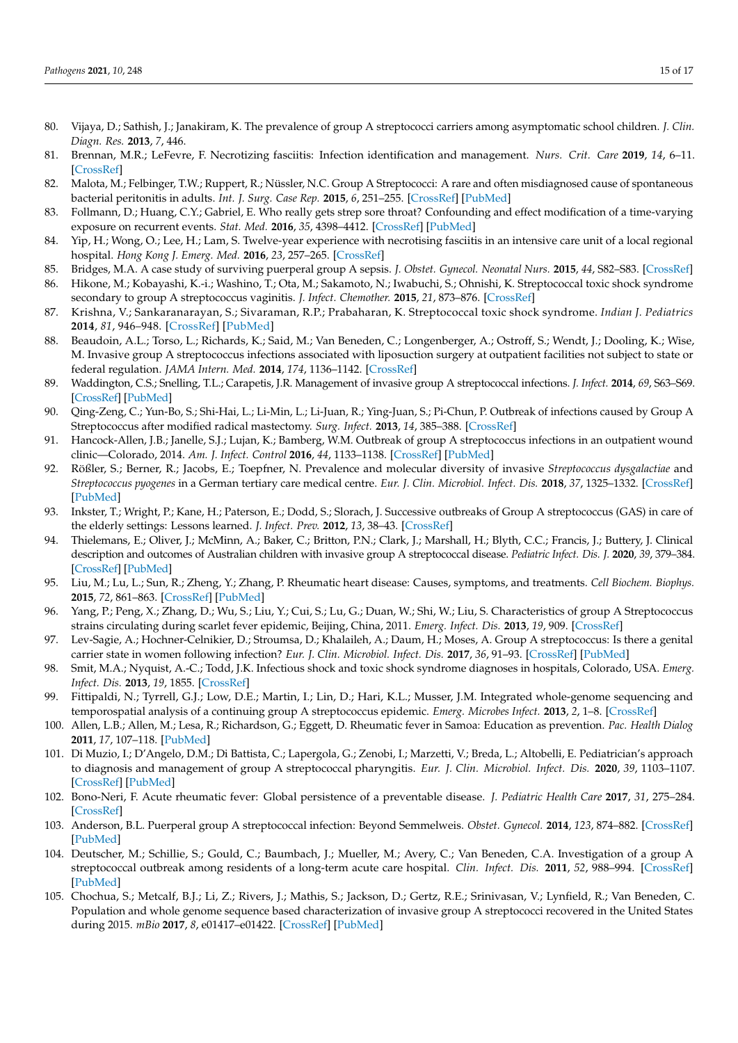- <span id="page-14-13"></span>80. Vijaya, D.; Sathish, J.; Janakiram, K. The prevalence of group A streptococci carriers among asymptomatic school children. *J. Clin. Diagn. Res.* **2013**, *7*, 446.
- 81. Brennan, M.R.; LeFevre, F. Necrotizing fasciitis: Infection identification and management. *Nurs. Crit. Care* **2019**, *14*, 6–11. [\[CrossRef\]](http://doi.org/10.1097/01.CCN.0000549627.98688.e2)
- 82. Malota, M.; Felbinger, T.W.; Ruppert, R.; Nüssler, N.C. Group A Streptococci: A rare and often misdiagnosed cause of spontaneous bacterial peritonitis in adults. *Int. J. Surg. Case Rep.* **2015**, *6*, 251–255. [\[CrossRef\]](http://doi.org/10.1016/j.ijscr.2014.10.060) [\[PubMed\]](http://www.ncbi.nlm.nih.gov/pubmed/25555146)
- 83. Follmann, D.; Huang, C.Y.; Gabriel, E. Who really gets strep sore throat? Confounding and effect modification of a time-varying exposure on recurrent events. *Stat. Med.* **2016**, *35*, 4398–4412. [\[CrossRef\]](http://doi.org/10.1002/sim.7000) [\[PubMed\]](http://www.ncbi.nlm.nih.gov/pubmed/27313096)
- 84. Yip, H.; Wong, O.; Lee, H.; Lam, S. Twelve-year experience with necrotising fasciitis in an intensive care unit of a local regional hospital. *Hong Kong J. Emerg. Med.* **2016**, *23*, 257–265. [\[CrossRef\]](http://doi.org/10.1177/102490791602300501)
- <span id="page-14-5"></span>85. Bridges, M.A. A case study of surviving puerperal group A sepsis. *J. Obstet. Gynecol. Neonatal Nurs.* **2015**, *44*, S82–S83. [\[CrossRef\]](http://doi.org/10.1111/1552-6909.12589)
- 86. Hikone, M.; Kobayashi, K.-i.; Washino, T.; Ota, M.; Sakamoto, N.; Iwabuchi, S.; Ohnishi, K. Streptococcal toxic shock syndrome secondary to group A streptococcus vaginitis. *J. Infect. Chemother.* **2015**, *21*, 873–876. [\[CrossRef\]](http://doi.org/10.1016/j.jiac.2015.07.011)
- <span id="page-14-0"></span>87. Krishna, V.; Sankaranarayan, S.; Sivaraman, R.P.; Prabaharan, K. Streptococcal toxic shock syndrome. *Indian J. Pediatrics* **2014**, *81*, 946–948. [\[CrossRef\]](http://doi.org/10.1007/s12098-013-1272-8) [\[PubMed\]](http://www.ncbi.nlm.nih.gov/pubmed/24297338)
- <span id="page-14-1"></span>88. Beaudoin, A.L.; Torso, L.; Richards, K.; Said, M.; Van Beneden, C.; Longenberger, A.; Ostroff, S.; Wendt, J.; Dooling, K.; Wise, M. Invasive group A streptococcus infections associated with liposuction surgery at outpatient facilities not subject to state or federal regulation. *JAMA Intern. Med.* **2014**, *174*, 1136–1142. [\[CrossRef\]](http://doi.org/10.1001/jamainternmed.2014.1875)
- <span id="page-14-9"></span>89. Waddington, C.S.; Snelling, T.L.; Carapetis, J.R. Management of invasive group A streptococcal infections. *J. Infect.* **2014**, *69*, S63–S69. [\[CrossRef\]](http://doi.org/10.1016/j.jinf.2014.08.005) [\[PubMed\]](http://www.ncbi.nlm.nih.gov/pubmed/25307276)
- 90. Qing-Zeng, C.; Yun-Bo, S.; Shi-Hai, L.; Li-Min, L.; Li-Juan, R.; Ying-Juan, S.; Pi-Chun, P. Outbreak of infections caused by Group A Streptococcus after modified radical mastectomy. *Surg. Infect.* **2013**, *14*, 385–388. [\[CrossRef\]](http://doi.org/10.1089/sur.2012.050)
- 91. Hancock-Allen, J.B.; Janelle, S.J.; Lujan, K.; Bamberg, W.M. Outbreak of group A streptococcus infections in an outpatient wound clinic—Colorado, 2014. *Am. J. Infect. Control* **2016**, *44*, 1133–1138. [\[CrossRef\]](http://doi.org/10.1016/j.ajic.2016.03.058) [\[PubMed\]](http://www.ncbi.nlm.nih.gov/pubmed/27307178)
- 92. Rößler, S.; Berner, R.; Jacobs, E.; Toepfner, N. Prevalence and molecular diversity of invasive *Streptococcus dysgalactiae* and *Streptococcus pyogenes* in a German tertiary care medical centre. *Eur. J. Clin. Microbiol. Infect. Dis.* **2018**, *37*, 1325–1332. [\[CrossRef\]](http://doi.org/10.1007/s10096-018-3254-2) [\[PubMed\]](http://www.ncbi.nlm.nih.gov/pubmed/29725958)
- <span id="page-14-2"></span>93. Inkster, T.; Wright, P.; Kane, H.; Paterson, E.; Dodd, S.; Slorach, J. Successive outbreaks of Group A streptococcus (GAS) in care of the elderly settings: Lessons learned. *J. Infect. Prev.* **2012**, *13*, 38–43. [\[CrossRef\]](http://doi.org/10.1177/1757177411428367)
- <span id="page-14-3"></span>94. Thielemans, E.; Oliver, J.; McMinn, A.; Baker, C.; Britton, P.N.; Clark, J.; Marshall, H.; Blyth, C.C.; Francis, J.; Buttery, J. Clinical description and outcomes of Australian children with invasive group A streptococcal disease. *Pediatric Infect. Dis. J.* **2020**, *39*, 379–384. [\[CrossRef\]](http://doi.org/10.1097/INF.0000000000002596) [\[PubMed\]](http://www.ncbi.nlm.nih.gov/pubmed/32091492)
- 95. Liu, M.; Lu, L.; Sun, R.; Zheng, Y.; Zhang, P. Rheumatic heart disease: Causes, symptoms, and treatments. *Cell Biochem. Biophys.* **2015**, *72*, 861–863. [\[CrossRef\]](http://doi.org/10.1007/s12013-015-0552-5) [\[PubMed\]](http://www.ncbi.nlm.nih.gov/pubmed/25638346)
- <span id="page-14-12"></span>96. Yang, P.; Peng, X.; Zhang, D.; Wu, S.; Liu, Y.; Cui, S.; Lu, G.; Duan, W.; Shi, W.; Liu, S. Characteristics of group A Streptococcus strains circulating during scarlet fever epidemic, Beijing, China, 2011. *Emerg. Infect. Dis.* **2013**, *19*, 909. [\[CrossRef\]](http://doi.org/10.3201/eid1906.121020)
- <span id="page-14-11"></span>97. Lev-Sagie, A.; Hochner-Celnikier, D.; Stroumsa, D.; Khalaileh, A.; Daum, H.; Moses, A. Group A streptococcus: Is there a genital carrier state in women following infection? *Eur. J. Clin. Microbiol. Infect. Dis.* **2017**, *36*, 91–93. [\[CrossRef\]](http://doi.org/10.1007/s10096-016-2774-x) [\[PubMed\]](http://www.ncbi.nlm.nih.gov/pubmed/27638010)
- 98. Smit, M.A.; Nyquist, A.-C.; Todd, J.K. Infectious shock and toxic shock syndrome diagnoses in hospitals, Colorado, USA. *Emerg. Infect. Dis.* **2013**, *19*, 1855. [\[CrossRef\]](http://doi.org/10.3201/eid1011.121547)
- <span id="page-14-4"></span>99. Fittipaldi, N.; Tyrrell, G.J.; Low, D.E.; Martin, I.; Lin, D.; Hari, K.L.; Musser, J.M. Integrated whole-genome sequencing and temporospatial analysis of a continuing group A streptococcus epidemic. *Emerg. Microbes Infect.* **2013**, *2*, 1–8. [\[CrossRef\]](http://doi.org/10.1038/emi.2013.13)
- <span id="page-14-6"></span>100. Allen, L.B.; Allen, M.; Lesa, R.; Richardson, G.; Eggett, D. Rheumatic fever in Samoa: Education as prevention. *Pac. Health Dialog* **2011**, *17*, 107–118. [\[PubMed\]](http://www.ncbi.nlm.nih.gov/pubmed/23008975)
- <span id="page-14-15"></span>101. Di Muzio, I.; D'Angelo, D.M.; Di Battista, C.; Lapergola, G.; Zenobi, I.; Marzetti, V.; Breda, L.; Altobelli, E. Pediatrician's approach to diagnosis and management of group A streptococcal pharyngitis. *Eur. J. Clin. Microbiol. Infect. Dis.* **2020**, *39*, 1103–1107. [\[CrossRef\]](http://doi.org/10.1007/s10096-020-03821-y) [\[PubMed\]](http://www.ncbi.nlm.nih.gov/pubmed/31984431)
- <span id="page-14-10"></span>102. Bono-Neri, F. Acute rheumatic fever: Global persistence of a preventable disease. *J. Pediatric Health Care* **2017**, *31*, 275–284. [\[CrossRef\]](http://doi.org/10.1016/j.pedhc.2016.09.001)
- <span id="page-14-14"></span>103. Anderson, B.L. Puerperal group A streptococcal infection: Beyond Semmelweis. *Obstet. Gynecol.* **2014**, *123*, 874–882. [\[CrossRef\]](http://doi.org/10.1097/AOG.0000000000000175) [\[PubMed\]](http://www.ncbi.nlm.nih.gov/pubmed/24785617)
- <span id="page-14-7"></span>104. Deutscher, M.; Schillie, S.; Gould, C.; Baumbach, J.; Mueller, M.; Avery, C.; Van Beneden, C.A. Investigation of a group A streptococcal outbreak among residents of a long-term acute care hospital. *Clin. Infect. Dis.* **2011**, *52*, 988–994. [\[CrossRef\]](http://doi.org/10.1093/cid/cir084) [\[PubMed\]](http://www.ncbi.nlm.nih.gov/pubmed/21460311)
- <span id="page-14-8"></span>105. Chochua, S.; Metcalf, B.J.; Li, Z.; Rivers, J.; Mathis, S.; Jackson, D.; Gertz, R.E.; Srinivasan, V.; Lynfield, R.; Van Beneden, C. Population and whole genome sequence based characterization of invasive group A streptococci recovered in the United States during 2015. *mBio* **2017**, *8*, e01417–e01422. [\[CrossRef\]](http://doi.org/10.1128/mBio.01422-17) [\[PubMed\]](http://www.ncbi.nlm.nih.gov/pubmed/28928212)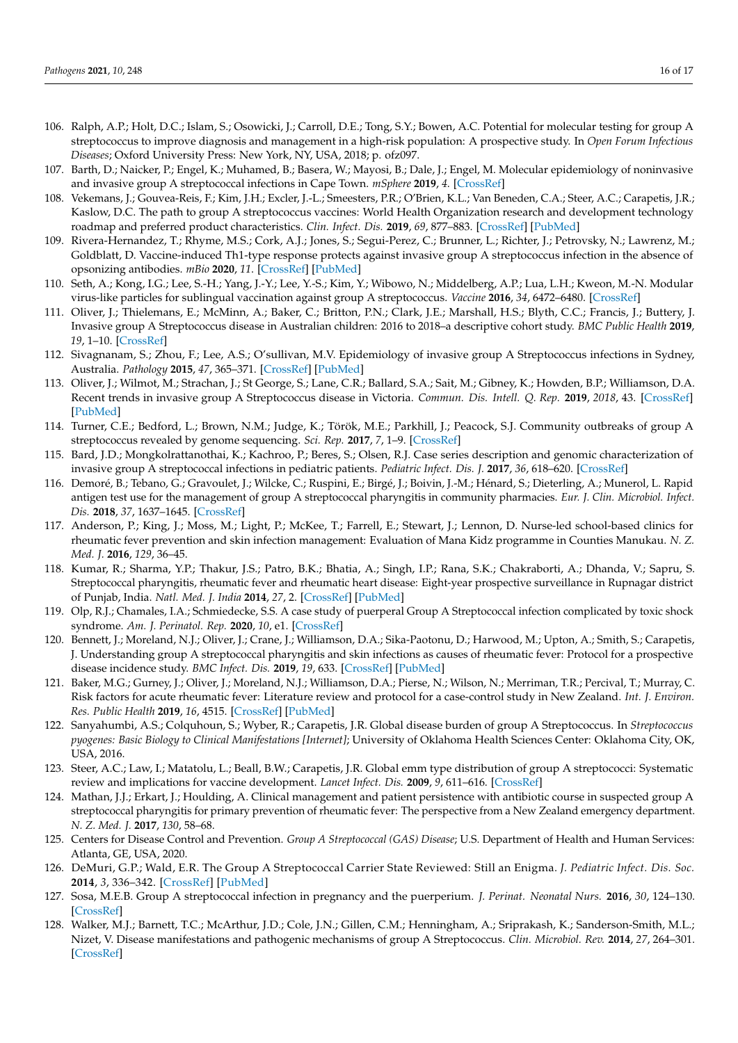- <span id="page-15-0"></span>106. Ralph, A.P.; Holt, D.C.; Islam, S.; Osowicki, J.; Carroll, D.E.; Tong, S.Y.; Bowen, A.C. Potential for molecular testing for group A streptococcus to improve diagnosis and management in a high-risk population: A prospective study. In *Open Forum Infectious Diseases*; Oxford University Press: New York, NY, USA, 2018; p. ofz097.
- <span id="page-15-1"></span>107. Barth, D.; Naicker, P.; Engel, K.; Muhamed, B.; Basera, W.; Mayosi, B.; Dale, J.; Engel, M. Molecular epidemiology of noninvasive and invasive group A streptococcal infections in Cape Town. *mSphere* **2019**, *4*. [\[CrossRef\]](http://doi.org/10.1128/mSphere.00421-19)
- <span id="page-15-19"></span>108. Vekemans, J.; Gouvea-Reis, F.; Kim, J.H.; Excler, J.-L.; Smeesters, P.R.; O'Brien, K.L.; Van Beneden, C.A.; Steer, A.C.; Carapetis, J.R.; Kaslow, D.C. The path to group A streptococcus vaccines: World Health Organization research and development technology roadmap and preferred product characteristics. *Clin. Infect. Dis.* **2019**, *69*, 877–883. [\[CrossRef\]](http://doi.org/10.1093/cid/ciy1143) [\[PubMed\]](http://www.ncbi.nlm.nih.gov/pubmed/30624673)
- <span id="page-15-20"></span>109. Rivera-Hernandez, T.; Rhyme, M.S.; Cork, A.J.; Jones, S.; Segui-Perez, C.; Brunner, L.; Richter, J.; Petrovsky, N.; Lawrenz, M.; Goldblatt, D. Vaccine-induced Th1-type response protects against invasive group A streptococcus infection in the absence of opsonizing antibodies. *mBio* **2020**, *11*. [\[CrossRef\]](http://doi.org/10.1128/mBio.00122-20) [\[PubMed\]](http://www.ncbi.nlm.nih.gov/pubmed/32156809)
- <span id="page-15-2"></span>110. Seth, A.; Kong, I.G.; Lee, S.-H.; Yang, J.-Y.; Lee, Y.-S.; Kim, Y.; Wibowo, N.; Middelberg, A.P.; Lua, L.H.; Kweon, M.-N. Modular virus-like particles for sublingual vaccination against group A streptococcus. *Vaccine* **2016**, *34*, 6472–6480. [\[CrossRef\]](http://doi.org/10.1016/j.vaccine.2016.11.008)
- <span id="page-15-3"></span>111. Oliver, J.; Thielemans, E.; McMinn, A.; Baker, C.; Britton, P.N.; Clark, J.E.; Marshall, H.S.; Blyth, C.C.; Francis, J.; Buttery, J. Invasive group A Streptococcus disease in Australian children: 2016 to 2018–a descriptive cohort study. *BMC Public Health* **2019**, *19*, 1–10. [\[CrossRef\]](http://doi.org/10.1186/s12889-019-8085-2)
- <span id="page-15-9"></span>112. Sivagnanam, S.; Zhou, F.; Lee, A.S.; O'sullivan, M.V. Epidemiology of invasive group A Streptococcus infections in Sydney, Australia. *Pathology* **2015**, *47*, 365–371. [\[CrossRef\]](http://doi.org/10.1097/PAT.0000000000000247) [\[PubMed\]](http://www.ncbi.nlm.nih.gov/pubmed/25938349)
- <span id="page-15-21"></span>113. Oliver, J.; Wilmot, M.; Strachan, J.; St George, S.; Lane, C.R.; Ballard, S.A.; Sait, M.; Gibney, K.; Howden, B.P.; Williamson, D.A. Recent trends in invasive group A Streptococcus disease in Victoria. *Commun. Dis. Intell. Q. Rep.* **2019**, *2018*, 43. [\[CrossRef\]](http://doi.org/10.33321/cdi.2019.43.8) [\[PubMed\]](http://www.ncbi.nlm.nih.gov/pubmed/30879286)
- <span id="page-15-18"></span>114. Turner, C.E.; Bedford, L.; Brown, N.M.; Judge, K.; Török, M.E.; Parkhill, J.; Peacock, S.J. Community outbreaks of group A streptococcus revealed by genome sequencing. *Sci. Rep.* **2017**, *7*, 1–9. [\[CrossRef\]](http://doi.org/10.1038/s41598-017-08914-x)
- 115. Bard, J.D.; Mongkolrattanothai, K.; Kachroo, P.; Beres, S.; Olsen, R.J. Case series description and genomic characterization of invasive group A streptococcal infections in pediatric patients. *Pediatric Infect. Dis. J.* **2017**, *36*, 618–620. [\[CrossRef\]](http://doi.org/10.1097/INF.0000000000001519)
- <span id="page-15-4"></span>116. Demoré, B.; Tebano, G.; Gravoulet, J.; Wilcke, C.; Ruspini, E.; Birgé, J.; Boivin, J.-M.; Hénard, S.; Dieterling, A.; Munerol, L. Rapid antigen test use for the management of group A streptococcal pharyngitis in community pharmacies. *Eur. J. Clin. Microbiol. Infect. Dis.* **2018**, *37*, 1637–1645. [\[CrossRef\]](http://doi.org/10.1007/s10096-018-3293-8)
- <span id="page-15-5"></span>117. Anderson, P.; King, J.; Moss, M.; Light, P.; McKee, T.; Farrell, E.; Stewart, J.; Lennon, D. Nurse-led school-based clinics for rheumatic fever prevention and skin infection management: Evaluation of Mana Kidz programme in Counties Manukau. *N. Z. Med. J.* **2016**, *129*, 36–45.
- <span id="page-15-6"></span>118. Kumar, R.; Sharma, Y.P.; Thakur, J.S.; Patro, B.K.; Bhatia, A.; Singh, I.P.; Rana, S.K.; Chakraborti, A.; Dhanda, V.; Sapru, S. Streptococcal pharyngitis, rheumatic fever and rheumatic heart disease: Eight-year prospective surveillance in Rupnagar district of Punjab, India. *Natl. Med. J. India* **2014**, *27*, 2. [\[CrossRef\]](http://doi.org/10.4103/0972-3919.125760) [\[PubMed\]](http://www.ncbi.nlm.nih.gov/pubmed/24591775)
- <span id="page-15-7"></span>119. Olp, R.J.; Chamales, I.A.; Schmiedecke, S.S. A case study of puerperal Group A Streptococcal infection complicated by toxic shock syndrome. *Am. J. Perinatol. Rep.* **2020**, *10*, e1. [\[CrossRef\]](http://doi.org/10.1055/s-0039-1697648)
- <span id="page-15-8"></span>120. Bennett, J.; Moreland, N.J.; Oliver, J.; Crane, J.; Williamson, D.A.; Sika-Paotonu, D.; Harwood, M.; Upton, A.; Smith, S.; Carapetis, J. Understanding group A streptococcal pharyngitis and skin infections as causes of rheumatic fever: Protocol for a prospective disease incidence study. *BMC Infect. Dis.* **2019**, *19*, 633. [\[CrossRef\]](http://doi.org/10.1186/s12879-019-4126-9) [\[PubMed\]](http://www.ncbi.nlm.nih.gov/pubmed/31315580)
- <span id="page-15-10"></span>121. Baker, M.G.; Gurney, J.; Oliver, J.; Moreland, N.J.; Williamson, D.A.; Pierse, N.; Wilson, N.; Merriman, T.R.; Percival, T.; Murray, C. Risk factors for acute rheumatic fever: Literature review and protocol for a case-control study in New Zealand. *Int. J. Environ. Res. Public Health* **2019**, *16*, 4515. [\[CrossRef\]](http://doi.org/10.3390/ijerph16224515) [\[PubMed\]](http://www.ncbi.nlm.nih.gov/pubmed/31731673)
- <span id="page-15-11"></span>122. Sanyahumbi, A.S.; Colquhoun, S.; Wyber, R.; Carapetis, J.R. Global disease burden of group A Streptococcus. In *Streptococcus pyogenes: Basic Biology to Clinical Manifestations [Internet]*; University of Oklahoma Health Sciences Center: Oklahoma City, OK, USA, 2016.
- <span id="page-15-12"></span>123. Steer, A.C.; Law, I.; Matatolu, L.; Beall, B.W.; Carapetis, J.R. Global emm type distribution of group A streptococci: Systematic review and implications for vaccine development. *Lancet Infect. Dis.* **2009**, *9*, 611–616. [\[CrossRef\]](http://doi.org/10.1016/S1473-3099(09)70178-1)
- <span id="page-15-13"></span>124. Mathan, J.J.; Erkart, J.; Houlding, A. Clinical management and patient persistence with antibiotic course in suspected group A streptococcal pharyngitis for primary prevention of rheumatic fever: The perspective from a New Zealand emergency department. *N. Z. Med. J.* **2017**, *130*, 58–68.
- <span id="page-15-14"></span>125. Centers for Disease Control and Prevention. *Group A Streptococcal (GAS) Disease*; U.S. Department of Health and Human Services: Atlanta, GE, USA, 2020.
- <span id="page-15-15"></span>126. DeMuri, G.P.; Wald, E.R. The Group A Streptococcal Carrier State Reviewed: Still an Enigma. *J. Pediatric Infect. Dis. Soc.* **2014**, *3*, 336–342. [\[CrossRef\]](http://doi.org/10.1093/jpids/piu030) [\[PubMed\]](http://www.ncbi.nlm.nih.gov/pubmed/26625454)
- <span id="page-15-16"></span>127. Sosa, M.E.B. Group A streptococcal infection in pregnancy and the puerperium. *J. Perinat. Neonatal Nurs.* **2016**, *30*, 124–130. [\[CrossRef\]](http://doi.org/10.1097/JPN.0000000000000166)
- <span id="page-15-17"></span>128. Walker, M.J.; Barnett, T.C.; McArthur, J.D.; Cole, J.N.; Gillen, C.M.; Henningham, A.; Sriprakash, K.; Sanderson-Smith, M.L.; Nizet, V. Disease manifestations and pathogenic mechanisms of group A Streptococcus. *Clin. Microbiol. Rev.* **2014**, *27*, 264–301. [\[CrossRef\]](http://doi.org/10.1128/CMR.00101-13)